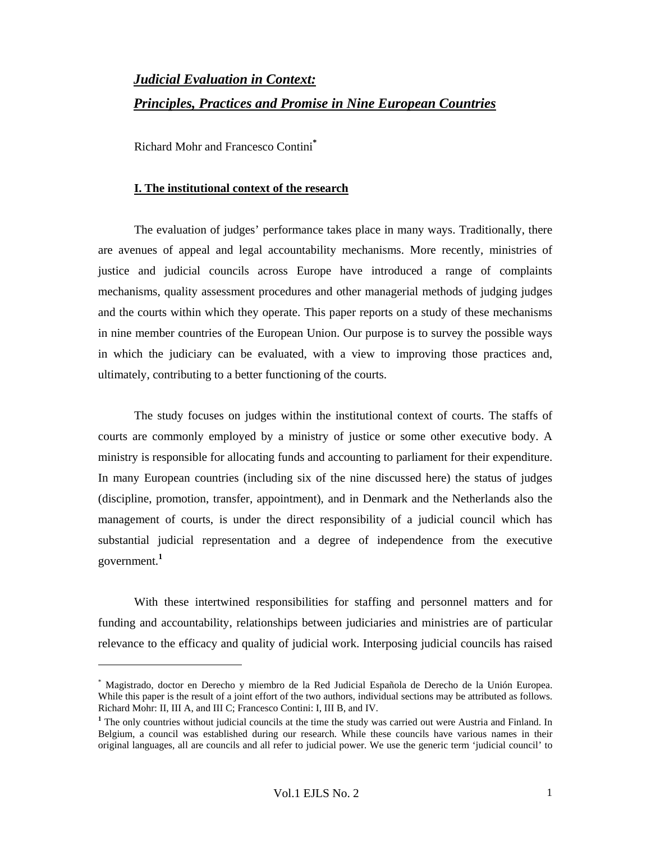# *Judicial Evaluation in Context: Principles, Practices and Promise in Nine European Countries*

Richard Mohr and Francesco Contini**\***

 $\overline{a}$ 

## **I. The institutional context of the research**

The evaluation of judges' performance takes place in many ways. Traditionally, there are avenues of appeal and legal accountability mechanisms. More recently, ministries of justice and judicial councils across Europe have introduced a range of complaints mechanisms, quality assessment procedures and other managerial methods of judging judges and the courts within which they operate. This paper reports on a study of these mechanisms in nine member countries of the European Union. Our purpose is to survey the possible ways in which the judiciary can be evaluated, with a view to improving those practices and, ultimately, contributing to a better functioning of the courts.

The study focuses on judges within the institutional context of courts. The staffs of courts are commonly employed by a ministry of justice or some other executive body. A ministry is responsible for allocating funds and accounting to parliament for their expenditure. In many European countries (including six of the nine discussed here) the status of judges (discipline, promotion, transfer, appointment), and in Denmark and the Netherlands also the management of courts, is under the direct responsibility of a judicial council which has substantial judicial representation and a degree of independence from the executive government.**<sup>1</sup>**

With these intertwined responsibilities for staffing and personnel matters and for funding and accountability, relationships between judiciaries and ministries are of particular relevance to the efficacy and quality of judicial work. Interposing judicial councils has raised

<sup>\*</sup> Magistrado, doctor en Derecho y miembro de la Red Judicial Española de Derecho de la Unión Europea. While this paper is the result of a joint effort of the two authors, individual sections may be attributed as follows. Richard Mohr: II, III A, and III C; Francesco Contini: I, III B, and IV.

<sup>&</sup>lt;sup>1</sup> The only countries without judicial councils at the time the study was carried out were Austria and Finland. In Belgium, a council was established during our research. While these councils have various names in their original languages, all are councils and all refer to judicial power. We use the generic term 'judicial council' to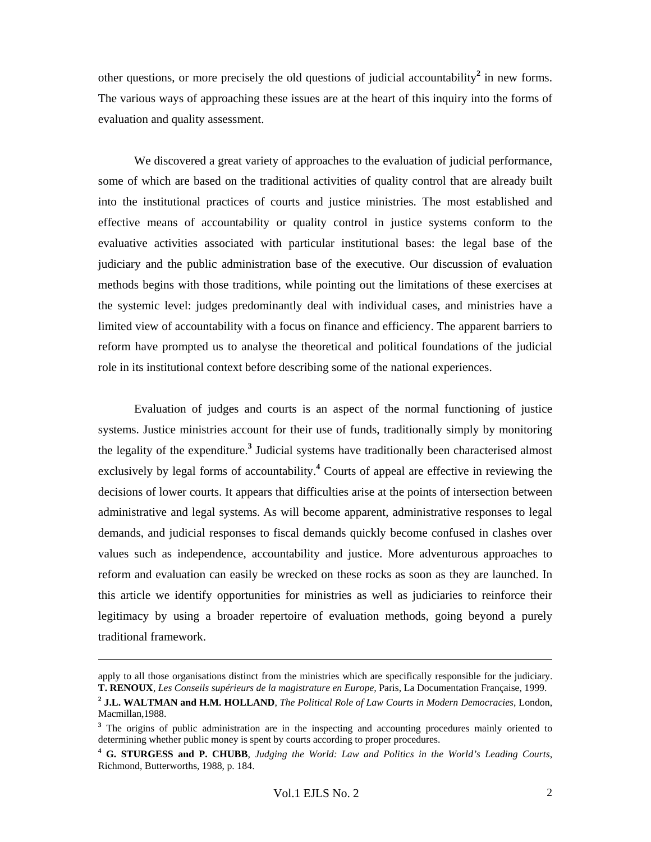other questions, or more precisely the old questions of judicial accountability<sup>2</sup> in new forms. The various ways of approaching these issues are at the heart of this inquiry into the forms of evaluation and quality assessment.

We discovered a great variety of approaches to the evaluation of judicial performance, some of which are based on the traditional activities of quality control that are already built into the institutional practices of courts and justice ministries. The most established and effective means of accountability or quality control in justice systems conform to the evaluative activities associated with particular institutional bases: the legal base of the judiciary and the public administration base of the executive. Our discussion of evaluation methods begins with those traditions, while pointing out the limitations of these exercises at the systemic level: judges predominantly deal with individual cases, and ministries have a limited view of accountability with a focus on finance and efficiency. The apparent barriers to reform have prompted us to analyse the theoretical and political foundations of the judicial role in its institutional context before describing some of the national experiences.

Evaluation of judges and courts is an aspect of the normal functioning of justice systems. Justice ministries account for their use of funds, traditionally simply by monitoring the legality of the expenditure.**<sup>3</sup>** Judicial systems have traditionally been characterised almost exclusively by legal forms of accountability.<sup>4</sup> Courts of appeal are effective in reviewing the decisions of lower courts. It appears that difficulties arise at the points of intersection between administrative and legal systems. As will become apparent, administrative responses to legal demands, and judicial responses to fiscal demands quickly become confused in clashes over values such as independence, accountability and justice. More adventurous approaches to reform and evaluation can easily be wrecked on these rocks as soon as they are launched. In this article we identify opportunities for ministries as well as judiciaries to reinforce their legitimacy by using a broader repertoire of evaluation methods, going beyond a purely traditional framework.

apply to all those organisations distinct from the ministries which are specifically responsible for the judiciary. **T. RENOUX**, *Les Conseils supérieurs de la magistrature en Europe,* Paris, La Documentation Française, 1999.

**<sup>2</sup> J.L. WALTMAN and H.M. HOLLAND**, *The Political Role of Law Courts in Modern Democracies*, London, Macmillan,1988.

<sup>&</sup>lt;sup>3</sup> The origins of public administration are in the inspecting and accounting procedures mainly oriented to determining whether public money is spent by courts according to proper procedures.

**<sup>4</sup> G. STURGESS and P. CHUBB**, *Judging the World: Law and Politics in the World's Leading Courts*, Richmond, Butterworths, 1988, p. 184.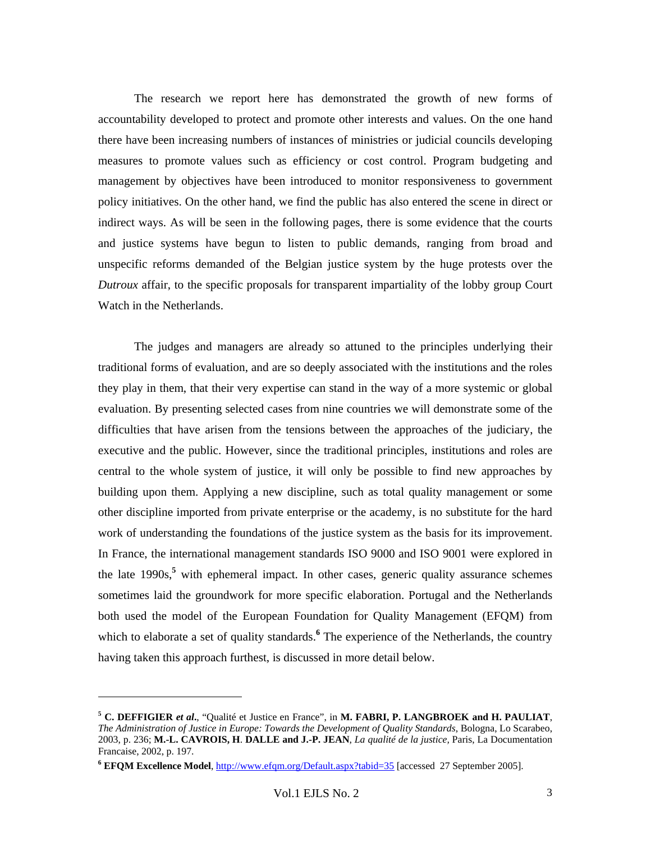The research we report here has demonstrated the growth of new forms of accountability developed to protect and promote other interests and values. On the one hand there have been increasing numbers of instances of ministries or judicial councils developing measures to promote values such as efficiency or cost control. Program budgeting and management by objectives have been introduced to monitor responsiveness to government policy initiatives. On the other hand, we find the public has also entered the scene in direct or indirect ways. As will be seen in the following pages, there is some evidence that the courts and justice systems have begun to listen to public demands, ranging from broad and unspecific reforms demanded of the Belgian justice system by the huge protests over the *Dutroux* affair, to the specific proposals for transparent impartiality of the lobby group Court Watch in the Netherlands.

The judges and managers are already so attuned to the principles underlying their traditional forms of evaluation, and are so deeply associated with the institutions and the roles they play in them, that their very expertise can stand in the way of a more systemic or global evaluation. By presenting selected cases from nine countries we will demonstrate some of the difficulties that have arisen from the tensions between the approaches of the judiciary, the executive and the public. However, since the traditional principles, institutions and roles are central to the whole system of justice, it will only be possible to find new approaches by building upon them. Applying a new discipline, such as total quality management or some other discipline imported from private enterprise or the academy, is no substitute for the hard work of understanding the foundations of the justice system as the basis for its improvement. In France, the international management standards ISO 9000 and ISO 9001 were explored in the late 1990s,**<sup>5</sup>** with ephemeral impact. In other cases, generic quality assurance schemes sometimes laid the groundwork for more specific elaboration. Portugal and the Netherlands both used the model of the European Foundation for Quality Management (EFQM) from which to elaborate a set of quality standards.<sup>6</sup> The experience of the Netherlands, the country having taken this approach furthest, is discussed in more detail below.

**<sup>5</sup> C. DEFFIGIER** *et al***.**, "Qualité et Justice en France", in **M. FABRI, P. LANGBROEK and H. PAULIAT**, *The Administration of Justice in Europe: Towards the Development of Quality Standards*, Bologna, Lo Scarabeo, 2003, p. 236; **M.-L. CAVROIS, H**. **DALLE and J.-P. JEAN**, *La qualité de la justice,* Paris, La Documentation Francaise, 2002, p. 197.

**<sup>6</sup> EFQM Excellence Model**, http://www.efqm.org/Default.aspx?tabid=35 [accessed 27 September 2005].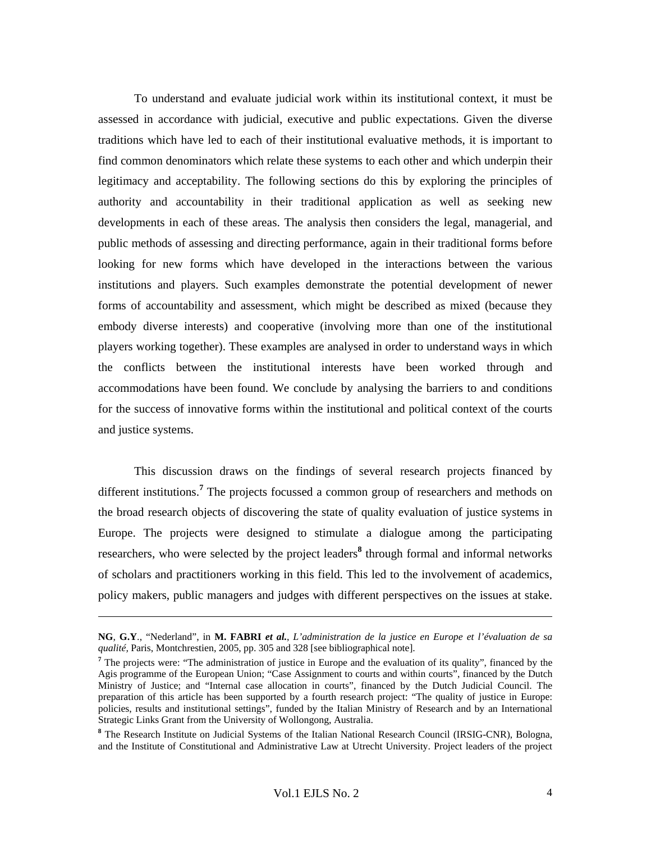To understand and evaluate judicial work within its institutional context, it must be assessed in accordance with judicial, executive and public expectations. Given the diverse traditions which have led to each of their institutional evaluative methods, it is important to find common denominators which relate these systems to each other and which underpin their legitimacy and acceptability. The following sections do this by exploring the principles of authority and accountability in their traditional application as well as seeking new developments in each of these areas. The analysis then considers the legal, managerial, and public methods of assessing and directing performance, again in their traditional forms before looking for new forms which have developed in the interactions between the various institutions and players. Such examples demonstrate the potential development of newer forms of accountability and assessment, which might be described as mixed (because they embody diverse interests) and cooperative (involving more than one of the institutional players working together). These examples are analysed in order to understand ways in which the conflicts between the institutional interests have been worked through and accommodations have been found. We conclude by analysing the barriers to and conditions for the success of innovative forms within the institutional and political context of the courts and justice systems.

This discussion draws on the findings of several research projects financed by different institutions.**<sup>7</sup>** The projects focussed a common group of researchers and methods on the broad research objects of discovering the state of quality evaluation of justice systems in Europe. The projects were designed to stimulate a dialogue among the participating researchers, who were selected by the project leaders<sup>8</sup> through formal and informal networks of scholars and practitioners working in this field. This led to the involvement of academics, policy makers, public managers and judges with different perspectives on the issues at stake.

**NG**, **G.Y**., "Nederland", in **M. FABRI** *et al.*, *L'administration de la justice en Europe et l'évaluation de sa qualité,* Paris, Montchrestien, 2005, pp. 305 and 328 [see bibliographical note].

<sup>&</sup>lt;sup>7</sup> The projects were: "The administration of justice in Europe and the evaluation of its quality", financed by the Agis programme of the European Union; "Case Assignment to courts and within courts", financed by the Dutch Ministry of Justice; and "Internal case allocation in courts", financed by the Dutch Judicial Council. The preparation of this article has been supported by a fourth research project: "The quality of justice in Europe: policies, results and institutional settings", funded by the Italian Ministry of Research and by an International Strategic Links Grant from the University of Wollongong, Australia.

<sup>&</sup>lt;sup>8</sup> The Research Institute on Judicial Systems of the Italian National Research Council (IRSIG-CNR), Bologna, and the Institute of Constitutional and Administrative Law at Utrecht University. Project leaders of the project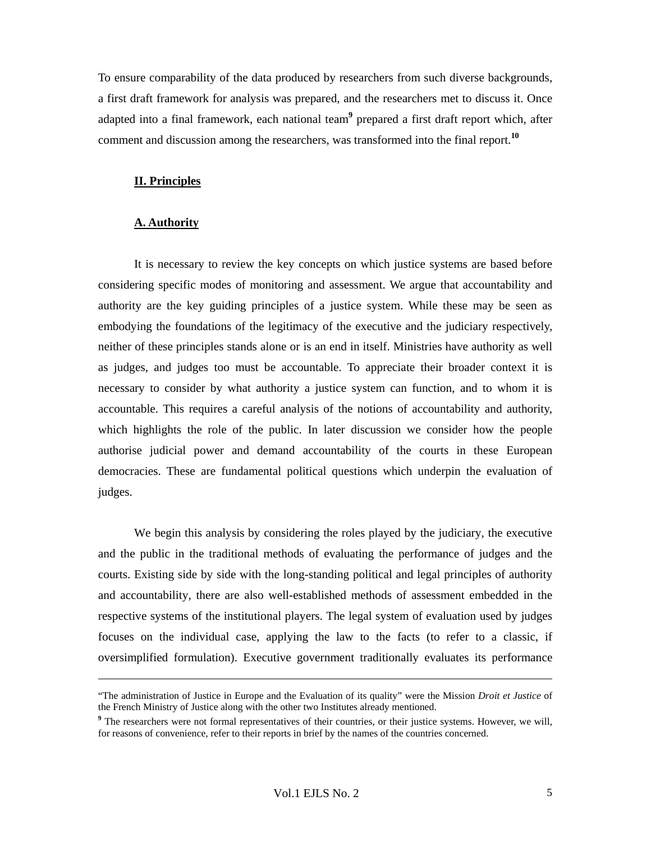To ensure comparability of the data produced by researchers from such diverse backgrounds, a first draft framework for analysis was prepared, and the researchers met to discuss it. Once adapted into a final framework, each national team**<sup>9</sup>** prepared a first draft report which, after comment and discussion among the researchers, was transformed into the final report.**<sup>10</sup>**

#### **II. Principles**

#### **A. Authority**

 $\overline{a}$ 

It is necessary to review the key concepts on which justice systems are based before considering specific modes of monitoring and assessment. We argue that accountability and authority are the key guiding principles of a justice system. While these may be seen as embodying the foundations of the legitimacy of the executive and the judiciary respectively, neither of these principles stands alone or is an end in itself. Ministries have authority as well as judges, and judges too must be accountable. To appreciate their broader context it is necessary to consider by what authority a justice system can function, and to whom it is accountable. This requires a careful analysis of the notions of accountability and authority, which highlights the role of the public. In later discussion we consider how the people authorise judicial power and demand accountability of the courts in these European democracies. These are fundamental political questions which underpin the evaluation of judges.

We begin this analysis by considering the roles played by the judiciary, the executive and the public in the traditional methods of evaluating the performance of judges and the courts. Existing side by side with the long-standing political and legal principles of authority and accountability, there are also well-established methods of assessment embedded in the respective systems of the institutional players. The legal system of evaluation used by judges focuses on the individual case, applying the law to the facts (to refer to a classic, if oversimplified formulation). Executive government traditionally evaluates its performance

<sup>&</sup>quot;The administration of Justice in Europe and the Evaluation of its quality" were the Mission *Droit et Justice* of the French Ministry of Justice along with the other two Institutes already mentioned.

<sup>&</sup>lt;sup>9</sup> The researchers were not formal representatives of their countries, or their justice systems. However, we will, for reasons of convenience, refer to their reports in brief by the names of the countries concerned.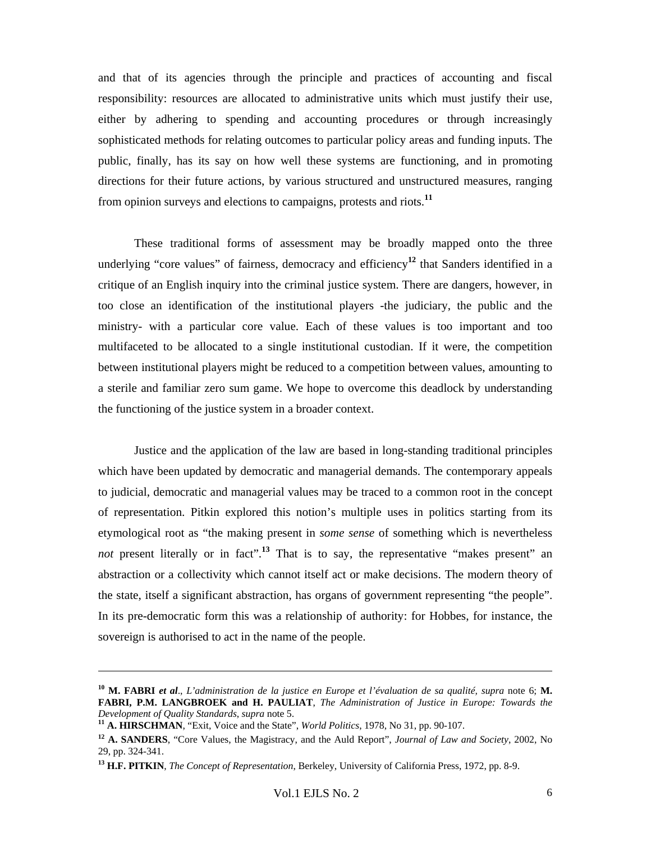and that of its agencies through the principle and practices of accounting and fiscal responsibility: resources are allocated to administrative units which must justify their use, either by adhering to spending and accounting procedures or through increasingly sophisticated methods for relating outcomes to particular policy areas and funding inputs. The public, finally, has its say on how well these systems are functioning, and in promoting directions for their future actions, by various structured and unstructured measures, ranging from opinion surveys and elections to campaigns, protests and riots.**<sup>11</sup>**

These traditional forms of assessment may be broadly mapped onto the three underlying "core values" of fairness, democracy and efficiency<sup>12</sup> that Sanders identified in a critique of an English inquiry into the criminal justice system. There are dangers, however, in too close an identification of the institutional players -the judiciary, the public and the ministry- with a particular core value. Each of these values is too important and too multifaceted to be allocated to a single institutional custodian. If it were, the competition between institutional players might be reduced to a competition between values, amounting to a sterile and familiar zero sum game. We hope to overcome this deadlock by understanding the functioning of the justice system in a broader context.

Justice and the application of the law are based in long-standing traditional principles which have been updated by democratic and managerial demands. The contemporary appeals to judicial, democratic and managerial values may be traced to a common root in the concept of representation. Pitkin explored this notion's multiple uses in politics starting from its etymological root as "the making present in *some sense* of something which is nevertheless *not* present literally or in fact".<sup>13</sup> That is to say, the representative "makes present" an abstraction or a collectivity which cannot itself act or make decisions. The modern theory of the state, itself a significant abstraction, has organs of government representing "the people". In its pre-democratic form this was a relationship of authority: for Hobbes, for instance, the sovereign is authorised to act in the name of the people.

**<sup>10</sup> M. FABRI** *et al*., *L'administration de la justice en Europe et l'évaluation de sa qualité, supra* note 6; **M. FABRI, P.M. LANGBROEK and H. PAULIAT**, *The Administration of Justice in Europe: Towards the Development of Quality Standards*, *supra* note 5. **<sup>11</sup> A. HIRSCHMAN**, "Exit, Voice and the State", *World Politics*, 1978, No 31, pp. 90-107.

**<sup>12</sup> A. SANDERS**, "Core Values, the Magistracy, and the Auld Report", *Journal of Law and Society*, 2002, No 29, pp. 324-341.

**<sup>13</sup> H.F. PITKIN**, *The Concept of Representation*, Berkeley, University of California Press, 1972, pp. 8-9.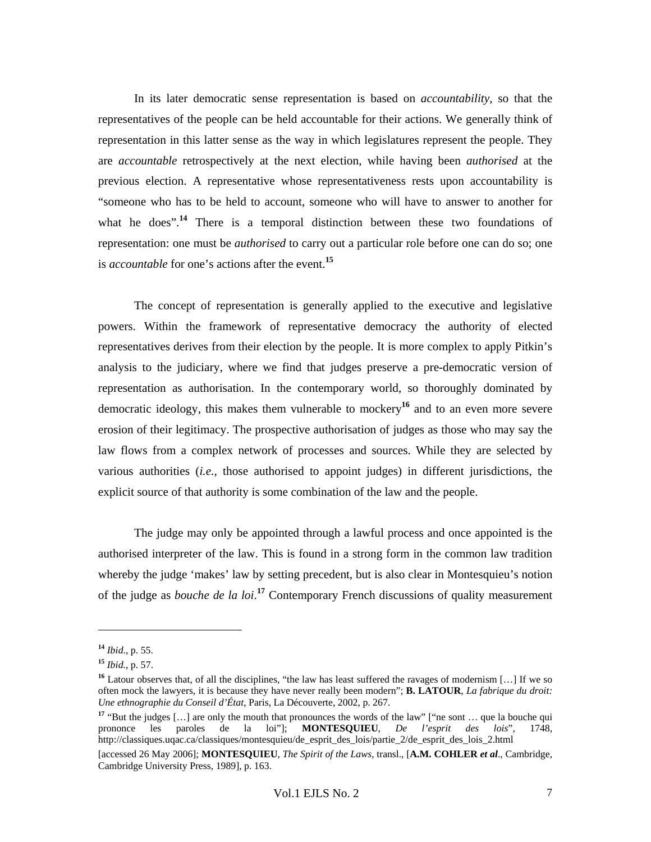In its later democratic sense representation is based on *accountability*, so that the representatives of the people can be held accountable for their actions. We generally think of representation in this latter sense as the way in which legislatures represent the people. They are *accountable* retrospectively at the next election, while having been *authorised* at the previous election. A representative whose representativeness rests upon accountability is "someone who has to be held to account, someone who will have to answer to another for what he does".<sup>14</sup> There is a temporal distinction between these two foundations of representation: one must be *authorised* to carry out a particular role before one can do so; one is *accountable* for one's actions after the event.**<sup>15</sup>**

The concept of representation is generally applied to the executive and legislative powers. Within the framework of representative democracy the authority of elected representatives derives from their election by the people. It is more complex to apply Pitkin's analysis to the judiciary, where we find that judges preserve a pre-democratic version of representation as authorisation. In the contemporary world, so thoroughly dominated by democratic ideology, this makes them vulnerable to mockery**<sup>16</sup>** and to an even more severe erosion of their legitimacy. The prospective authorisation of judges as those who may say the law flows from a complex network of processes and sources. While they are selected by various authorities (*i.e.*, those authorised to appoint judges) in different jurisdictions, the explicit source of that authority is some combination of the law and the people.

The judge may only be appointed through a lawful process and once appointed is the authorised interpreter of the law. This is found in a strong form in the common law tradition whereby the judge 'makes' law by setting precedent, but is also clear in Montesquieu's notion of the judge as *bouche de la loi*. **<sup>17</sup>** Contemporary French discussions of quality measurement

**<sup>14</sup>** *Ibid.*, p. 55.

**<sup>15</sup>** *Ibid.*, p. 57.

**<sup>16</sup>** Latour observes that, of all the disciplines, "the law has least suffered the ravages of modernism […] If we so often mock the lawyers, it is because they have never really been modern"; **B. LATOUR**, *La fabrique du droit: Une ethnographie du Conseil d'État*, Paris, La Découverte, 2002, p. 267.

<sup>&</sup>lt;sup>17</sup> "But the judges [...] are only the mouth that pronounces the words of the law" ["ne sont ... que la bouche qui prononce les paroles de la loi"]; **MONTESQUIEU**, *De l'esprit des lois*", 1748, http://classiques.uqac.ca/classiques/montesquieu/de\_esprit\_des\_lois/partie\_2/de\_esprit\_des\_lois\_2.html

<sup>[</sup>accessed 26 May 2006]; **MONTESQUIEU**, *The Spirit of the Laws*, transl., [**A.M. COHLER** *et al*., Cambridge, Cambridge University Press, 1989], p. 163.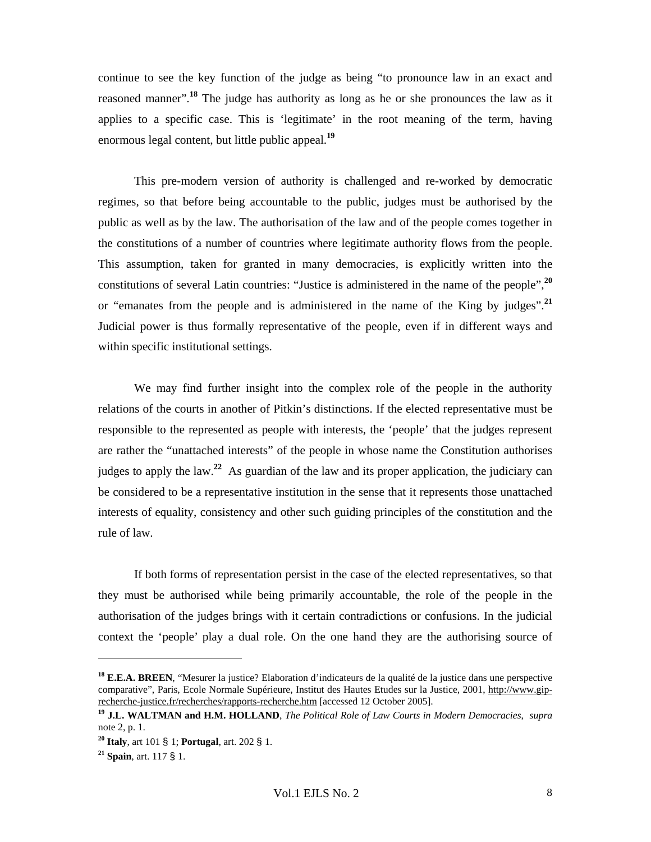continue to see the key function of the judge as being "to pronounce law in an exact and reasoned manner".<sup>18</sup> The judge has authority as long as he or she pronounces the law as it applies to a specific case. This is 'legitimate' in the root meaning of the term, having enormous legal content, but little public appeal.**<sup>19</sup>**

This pre-modern version of authority is challenged and re-worked by democratic regimes, so that before being accountable to the public, judges must be authorised by the public as well as by the law. The authorisation of the law and of the people comes together in the constitutions of a number of countries where legitimate authority flows from the people. This assumption, taken for granted in many democracies, is explicitly written into the constitutions of several Latin countries: "Justice is administered in the name of the people",**<sup>20</sup>** or "emanates from the people and is administered in the name of the King by judges".**<sup>21</sup>** Judicial power is thus formally representative of the people, even if in different ways and within specific institutional settings.

We may find further insight into the complex role of the people in the authority relations of the courts in another of Pitkin's distinctions. If the elected representative must be responsible to the represented as people with interests, the 'people' that the judges represent are rather the "unattached interests" of the people in whose name the Constitution authorises judges to apply the law.**<sup>22</sup>** As guardian of the law and its proper application, the judiciary can be considered to be a representative institution in the sense that it represents those unattached interests of equality, consistency and other such guiding principles of the constitution and the rule of law.

If both forms of representation persist in the case of the elected representatives, so that they must be authorised while being primarily accountable, the role of the people in the authorisation of the judges brings with it certain contradictions or confusions. In the judicial context the 'people' play a dual role. On the one hand they are the authorising source of

**<sup>18</sup> E.E.A. BREEN**, "Mesurer la justice? Elaboration d'indicateurs de la qualité de la justice dans une perspective comparative", Paris, Ecole Normale Supérieure, Institut des Hautes Etudes sur la Justice, 2001, http://www.giprecherche-justice.fr/recherches/rapports-recherche.htm [accessed 12 October 2005].

**<sup>19</sup> J.L. WALTMAN and H.M. HOLLAND**, *The Political Role of Law Courts in Modern Democracies*, *supra* note 2, p. 1.

**<sup>20</sup> Italy**, art 101 § 1; **Portugal**, art. 202 § 1.

**<sup>21</sup> Spain**, art. 117 § 1.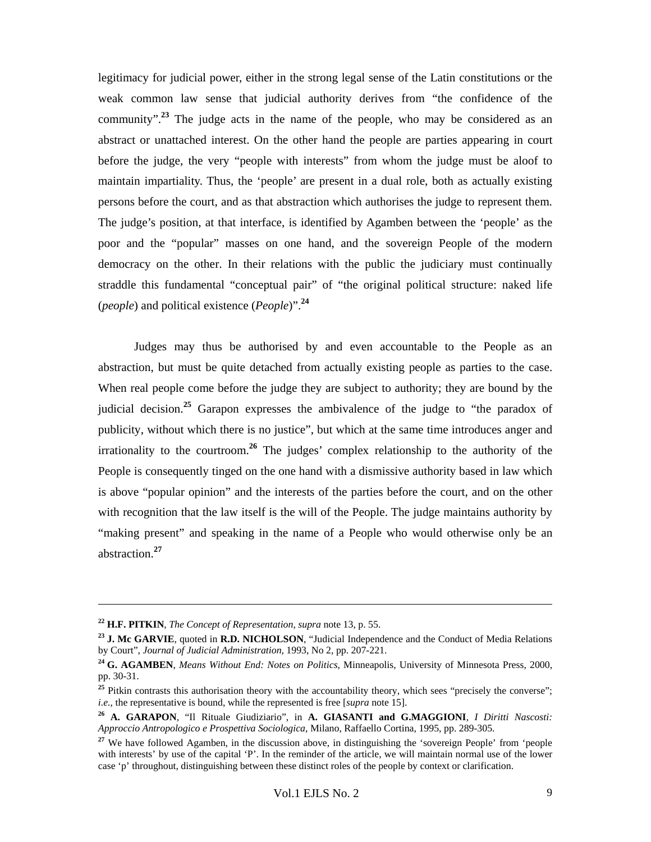legitimacy for judicial power, either in the strong legal sense of the Latin constitutions or the weak common law sense that judicial authority derives from "the confidence of the community".**<sup>23</sup>** The judge acts in the name of the people, who may be considered as an abstract or unattached interest. On the other hand the people are parties appearing in court before the judge, the very "people with interests" from whom the judge must be aloof to maintain impartiality. Thus, the 'people' are present in a dual role, both as actually existing persons before the court, and as that abstraction which authorises the judge to represent them. The judge's position, at that interface, is identified by Agamben between the 'people' as the poor and the "popular" masses on one hand, and the sovereign People of the modern democracy on the other. In their relations with the public the judiciary must continually straddle this fundamental "conceptual pair" of "the original political structure: naked life (*people*) and political existence (*People*)".**<sup>24</sup>**

Judges may thus be authorised by and even accountable to the People as an abstraction, but must be quite detached from actually existing people as parties to the case. When real people come before the judge they are subject to authority; they are bound by the judicial decision.<sup>25</sup> Garapon expresses the ambivalence of the judge to "the paradox of publicity, without which there is no justice", but which at the same time introduces anger and irrationality to the courtroom.**<sup>26</sup>** The judges' complex relationship to the authority of the People is consequently tinged on the one hand with a dismissive authority based in law which is above "popular opinion" and the interests of the parties before the court, and on the other with recognition that the law itself is the will of the People. The judge maintains authority by "making present" and speaking in the name of a People who would otherwise only be an abstraction.**<sup>27</sup>**

**<sup>22</sup> H.F. PITKIN**, *The Concept of Representation*, *supra* note 13, p. 55.

**<sup>23</sup> J. Mc GARVIE**, quoted in **R.D. NICHOLSON**, "Judicial Independence and the Conduct of Media Relations by Court", *Journal of Judicial Administration*, 1993, No 2, pp. 207-221.

**<sup>24</sup> G. AGAMBEN**, *Means Without End: Notes on Politics*, Minneapolis, University of Minnesota Press, 2000, pp. 30-31.

<sup>&</sup>lt;sup>25</sup> Pitkin contrasts this authorisation theory with the accountability theory, which sees "precisely the converse"; *i.e.*, the representative is bound, while the represented is free [*supra* note 15].

**<sup>26</sup> A. GARAPON**, "Il Rituale Giudiziario", in **A. GIASANTI and G.MAGGIONI**, *I Diritti Nascosti: Approccio Antropologico e Prospettiva Sociologica*, Milano, Raffaello Cortina, 1995, pp. 289-305.

<sup>&</sup>lt;sup>27</sup> We have followed Agamben, in the discussion above, in distinguishing the 'sovereign People' from 'people' with interests' by use of the capital 'P'. In the reminder of the article, we will maintain normal use of the lower case 'p' throughout, distinguishing between these distinct roles of the people by context or clarification.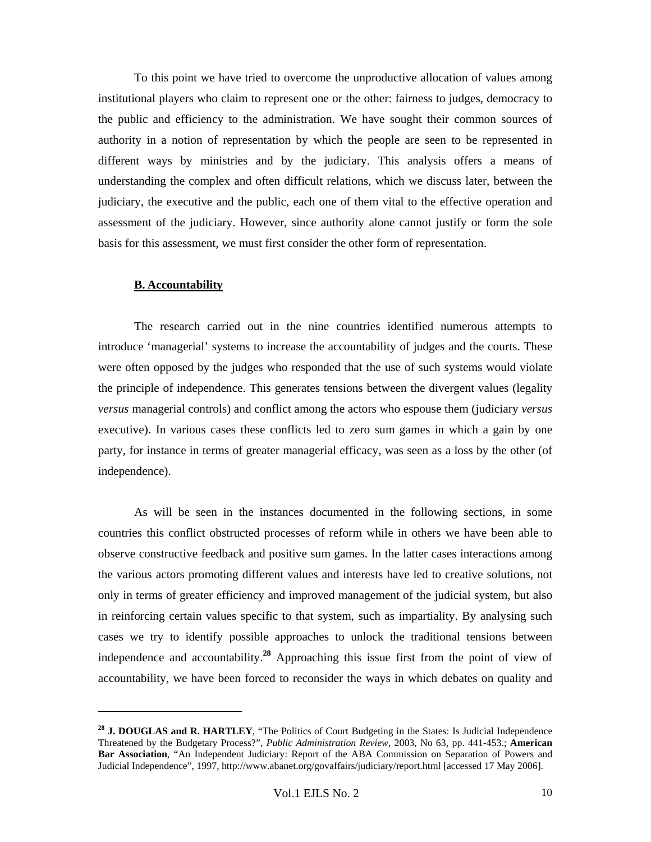To this point we have tried to overcome the unproductive allocation of values among institutional players who claim to represent one or the other: fairness to judges, democracy to the public and efficiency to the administration. We have sought their common sources of authority in a notion of representation by which the people are seen to be represented in different ways by ministries and by the judiciary. This analysis offers a means of understanding the complex and often difficult relations, which we discuss later, between the judiciary, the executive and the public, each one of them vital to the effective operation and assessment of the judiciary. However, since authority alone cannot justify or form the sole basis for this assessment, we must first consider the other form of representation.

#### **B. Accountability**

l

The research carried out in the nine countries identified numerous attempts to introduce 'managerial' systems to increase the accountability of judges and the courts. These were often opposed by the judges who responded that the use of such systems would violate the principle of independence. This generates tensions between the divergent values (legality *versus* managerial controls) and conflict among the actors who espouse them (judiciary *versus* executive). In various cases these conflicts led to zero sum games in which a gain by one party, for instance in terms of greater managerial efficacy, was seen as a loss by the other (of independence).

As will be seen in the instances documented in the following sections, in some countries this conflict obstructed processes of reform while in others we have been able to observe constructive feedback and positive sum games. In the latter cases interactions among the various actors promoting different values and interests have led to creative solutions, not only in terms of greater efficiency and improved management of the judicial system, but also in reinforcing certain values specific to that system, such as impartiality. By analysing such cases we try to identify possible approaches to unlock the traditional tensions between independence and accountability.**<sup>28</sup>** Approaching this issue first from the point of view of accountability, we have been forced to reconsider the ways in which debates on quality and

**<sup>28</sup> J. DOUGLAS and R. HARTLEY**, "The Politics of Court Budgeting in the States: Is Judicial Independence Threatened by the Budgetary Process?", *Public Administration Review*, 2003, No 63, pp. 441-453.; **American Bar Association**, "An Independent Judiciary: Report of the ABA Commission on Separation of Powers and Judicial Independence", 1997, http://www.abanet.org/govaffairs/judiciary/report.html [accessed 17 May 2006].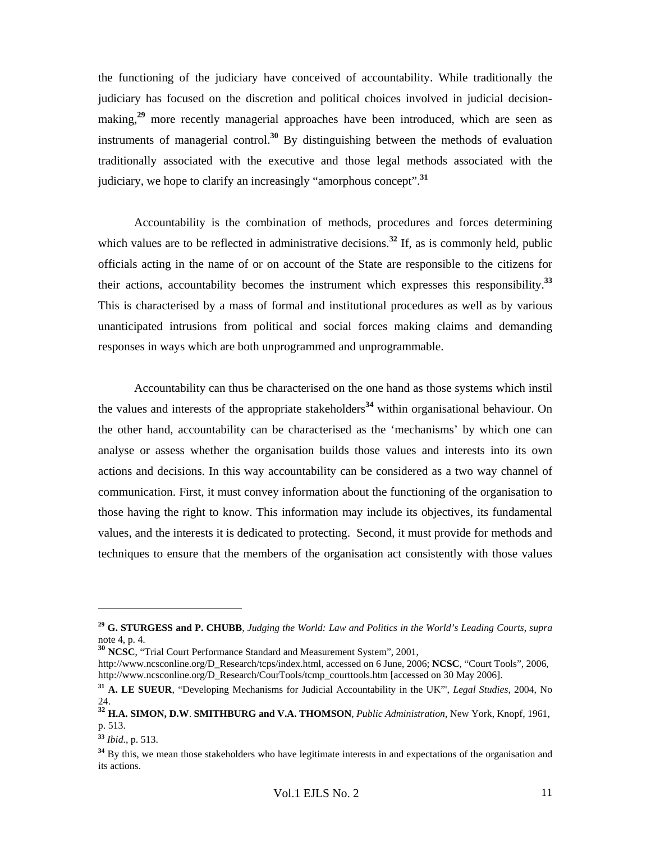the functioning of the judiciary have conceived of accountability. While traditionally the judiciary has focused on the discretion and political choices involved in judicial decisionmaking,<sup>29</sup> more recently managerial approaches have been introduced, which are seen as instruments of managerial control.**<sup>30</sup>** By distinguishing between the methods of evaluation traditionally associated with the executive and those legal methods associated with the judiciary, we hope to clarify an increasingly "amorphous concept".**<sup>31</sup>**

Accountability is the combination of methods, procedures and forces determining which values are to be reflected in administrative decisions.<sup>32</sup> If, as is commonly held, public officials acting in the name of or on account of the State are responsible to the citizens for their actions, accountability becomes the instrument which expresses this responsibility.**<sup>33</sup>** This is characterised by a mass of formal and institutional procedures as well as by various unanticipated intrusions from political and social forces making claims and demanding responses in ways which are both unprogrammed and unprogrammable.

Accountability can thus be characterised on the one hand as those systems which instil the values and interests of the appropriate stakeholders**<sup>34</sup>** within organisational behaviour. On the other hand, accountability can be characterised as the 'mechanisms' by which one can analyse or assess whether the organisation builds those values and interests into its own actions and decisions. In this way accountability can be considered as a two way channel of communication. First, it must convey information about the functioning of the organisation to those having the right to know. This information may include its objectives, its fundamental values, and the interests it is dedicated to protecting. Second, it must provide for methods and techniques to ensure that the members of the organisation act consistently with those values

**<sup>29</sup> G. STURGESS and P. CHUBB**, *Judging the World: Law and Politics in the World's Leading Courts*, *supra*  note 4, p. 4.

**<sup>30</sup> NCSC**, "Trial Court Performance Standard and Measurement System", 2001,

http://www.ncsconline.org/D\_Research/tcps/index.html, accessed on 6 June, 2006; **NCSC**, "Court Tools", 2006, http://www.ncsconline.org/D\_Research/CourTools/tcmp\_courttools.htm [accessed on 30 May 2006].

**<sup>31</sup> A. LE SUEUR**, "Developing Mechanisms for Judicial Accountability in the UK"', *Legal Studies*, 2004, No 24.

**<sup>32</sup> H.A. SIMON, D.W**. **SMITHBURG and V.A. THOMSON**, *Public Administration*, New York, Knopf, 1961, p. 513.

**<sup>33</sup>** *Ibid.*, p. 513.

<sup>&</sup>lt;sup>34</sup> By this, we mean those stakeholders who have legitimate interests in and expectations of the organisation and its actions.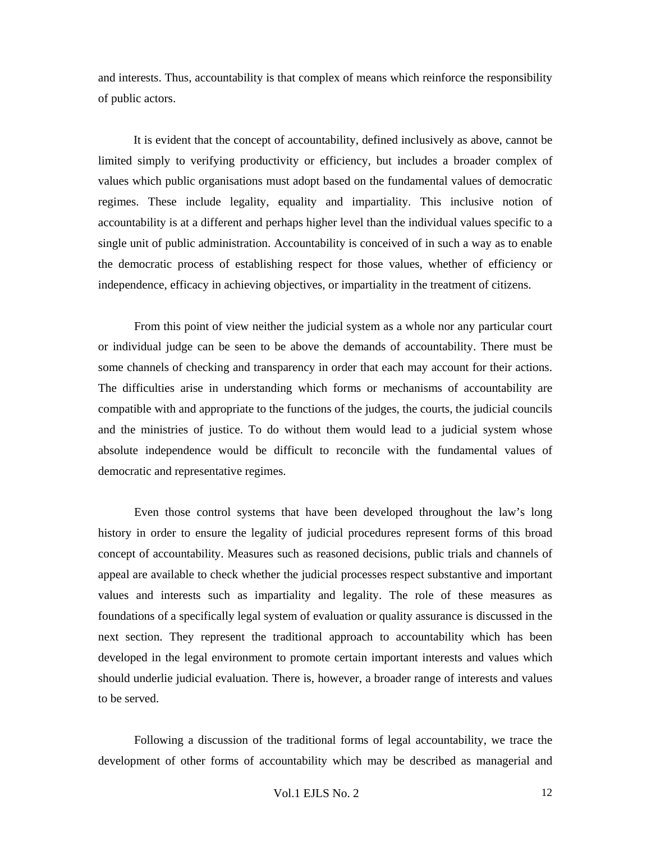and interests. Thus, accountability is that complex of means which reinforce the responsibility of public actors.

It is evident that the concept of accountability, defined inclusively as above, cannot be limited simply to verifying productivity or efficiency, but includes a broader complex of values which public organisations must adopt based on the fundamental values of democratic regimes. These include legality, equality and impartiality. This inclusive notion of accountability is at a different and perhaps higher level than the individual values specific to a single unit of public administration. Accountability is conceived of in such a way as to enable the democratic process of establishing respect for those values, whether of efficiency or independence, efficacy in achieving objectives, or impartiality in the treatment of citizens.

From this point of view neither the judicial system as a whole nor any particular court or individual judge can be seen to be above the demands of accountability. There must be some channels of checking and transparency in order that each may account for their actions. The difficulties arise in understanding which forms or mechanisms of accountability are compatible with and appropriate to the functions of the judges, the courts, the judicial councils and the ministries of justice. To do without them would lead to a judicial system whose absolute independence would be difficult to reconcile with the fundamental values of democratic and representative regimes.

Even those control systems that have been developed throughout the law's long history in order to ensure the legality of judicial procedures represent forms of this broad concept of accountability. Measures such as reasoned decisions, public trials and channels of appeal are available to check whether the judicial processes respect substantive and important values and interests such as impartiality and legality. The role of these measures as foundations of a specifically legal system of evaluation or quality assurance is discussed in the next section. They represent the traditional approach to accountability which has been developed in the legal environment to promote certain important interests and values which should underlie judicial evaluation. There is, however, a broader range of interests and values to be served.

Following a discussion of the traditional forms of legal accountability, we trace the development of other forms of accountability which may be described as managerial and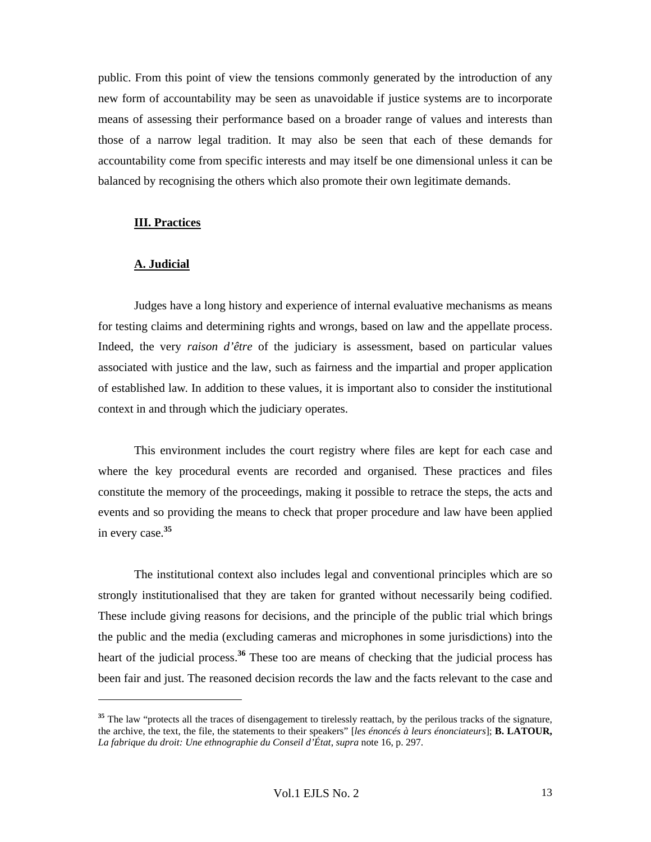public. From this point of view the tensions commonly generated by the introduction of any new form of accountability may be seen as unavoidable if justice systems are to incorporate means of assessing their performance based on a broader range of values and interests than those of a narrow legal tradition. It may also be seen that each of these demands for accountability come from specific interests and may itself be one dimensional unless it can be balanced by recognising the others which also promote their own legitimate demands.

#### **III. Practices**

#### **A. Judicial**

 $\overline{a}$ 

Judges have a long history and experience of internal evaluative mechanisms as means for testing claims and determining rights and wrongs, based on law and the appellate process. Indeed, the very *raison d'être* of the judiciary is assessment, based on particular values associated with justice and the law, such as fairness and the impartial and proper application of established law. In addition to these values, it is important also to consider the institutional context in and through which the judiciary operates.

This environment includes the court registry where files are kept for each case and where the key procedural events are recorded and organised. These practices and files constitute the memory of the proceedings, making it possible to retrace the steps, the acts and events and so providing the means to check that proper procedure and law have been applied in every case.**<sup>35</sup>**

The institutional context also includes legal and conventional principles which are so strongly institutionalised that they are taken for granted without necessarily being codified. These include giving reasons for decisions, and the principle of the public trial which brings the public and the media (excluding cameras and microphones in some jurisdictions) into the heart of the judicial process.**<sup>36</sup>** These too are means of checking that the judicial process has been fair and just. The reasoned decision records the law and the facts relevant to the case and

<sup>&</sup>lt;sup>35</sup> The law "protects all the traces of disengagement to tirelessly reattach, by the perilous tracks of the signature, the archive, the text, the file, the statements to their speakers" [*les énoncés à leurs énonciateurs*]; **B. LATOUR,**  *La fabrique du droit: Une ethnographie du Conseil d'État*, *supra* note 16, p. 297.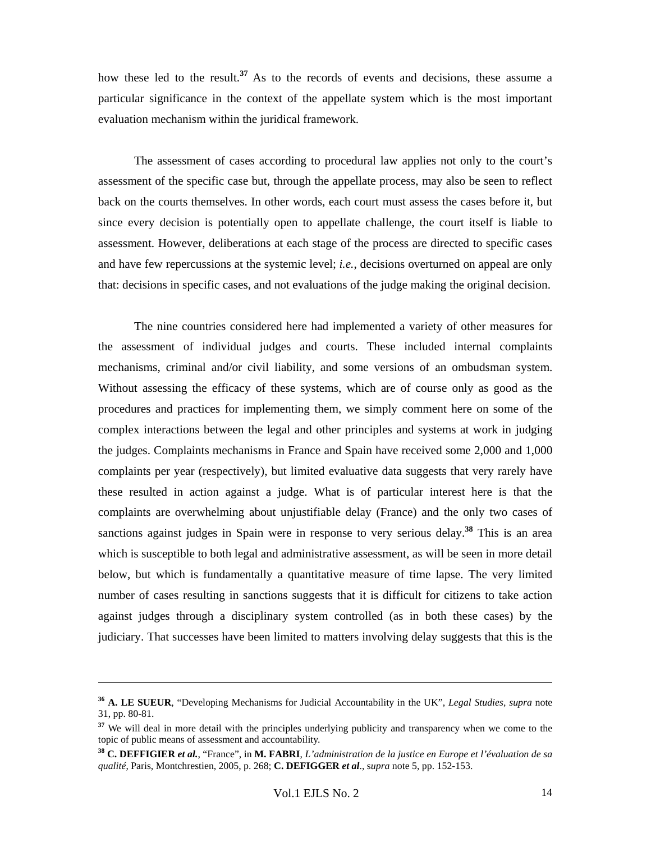how these led to the result.**<sup>37</sup>** As to the records of events and decisions, these assume a particular significance in the context of the appellate system which is the most important evaluation mechanism within the juridical framework.

The assessment of cases according to procedural law applies not only to the court's assessment of the specific case but, through the appellate process, may also be seen to reflect back on the courts themselves. In other words, each court must assess the cases before it, but since every decision is potentially open to appellate challenge, the court itself is liable to assessment. However, deliberations at each stage of the process are directed to specific cases and have few repercussions at the systemic level; *i.e.*, decisions overturned on appeal are only that: decisions in specific cases, and not evaluations of the judge making the original decision.

The nine countries considered here had implemented a variety of other measures for the assessment of individual judges and courts. These included internal complaints mechanisms, criminal and/or civil liability, and some versions of an ombudsman system. Without assessing the efficacy of these systems, which are of course only as good as the procedures and practices for implementing them, we simply comment here on some of the complex interactions between the legal and other principles and systems at work in judging the judges. Complaints mechanisms in France and Spain have received some 2,000 and 1,000 complaints per year (respectively), but limited evaluative data suggests that very rarely have these resulted in action against a judge. What is of particular interest here is that the complaints are overwhelming about unjustifiable delay (France) and the only two cases of sanctions against judges in Spain were in response to very serious delay.**<sup>38</sup>** This is an area which is susceptible to both legal and administrative assessment, as will be seen in more detail below, but which is fundamentally a quantitative measure of time lapse. The very limited number of cases resulting in sanctions suggests that it is difficult for citizens to take action against judges through a disciplinary system controlled (as in both these cases) by the judiciary. That successes have been limited to matters involving delay suggests that this is the

**<sup>36</sup> A. LE SUEUR**, "Developing Mechanisms for Judicial Accountability in the UK", *Legal Studies, supra* note 31, pp. 80-81.

**<sup>37</sup>** We will deal in more detail with the principles underlying publicity and transparency when we come to the topic of public means of assessment and accountability.

**<sup>38</sup> C. DEFFIGIER** *et al.*, "France", in **M. FABRI**, *L'administration de la justice en Europe et l'évaluation de sa qualité*, Paris, Montchrestien, 2005, p. 268; **C. DEFIGGER** *et al*., s*upra* note 5, pp. 152-153.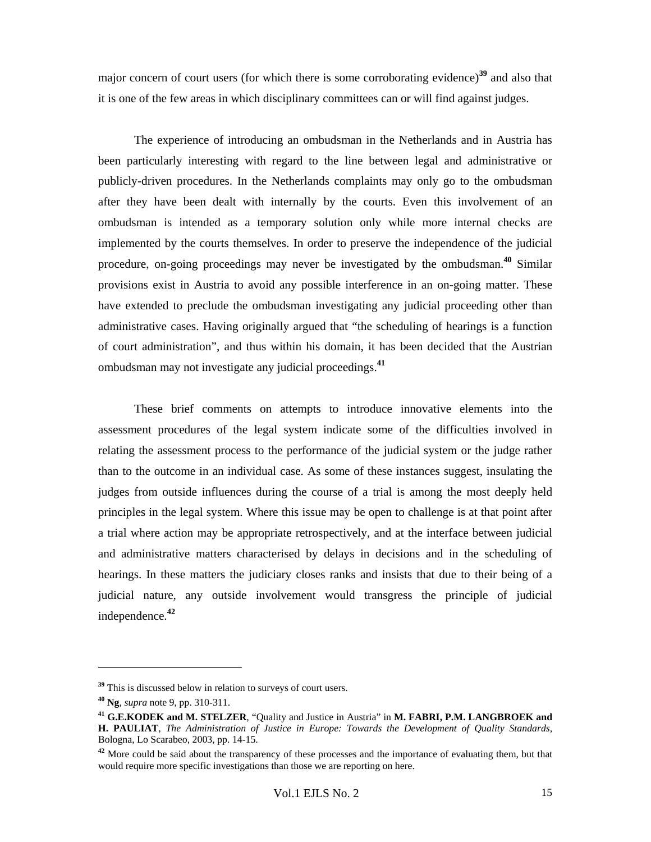major concern of court users (for which there is some corroborating evidence)**<sup>39</sup>** and also that it is one of the few areas in which disciplinary committees can or will find against judges.

The experience of introducing an ombudsman in the Netherlands and in Austria has been particularly interesting with regard to the line between legal and administrative or publicly-driven procedures. In the Netherlands complaints may only go to the ombudsman after they have been dealt with internally by the courts. Even this involvement of an ombudsman is intended as a temporary solution only while more internal checks are implemented by the courts themselves. In order to preserve the independence of the judicial procedure, on-going proceedings may never be investigated by the ombudsman.**<sup>40</sup>** Similar provisions exist in Austria to avoid any possible interference in an on-going matter. These have extended to preclude the ombudsman investigating any judicial proceeding other than administrative cases. Having originally argued that "the scheduling of hearings is a function of court administration", and thus within his domain, it has been decided that the Austrian ombudsman may not investigate any judicial proceedings.**<sup>41</sup>**

These brief comments on attempts to introduce innovative elements into the assessment procedures of the legal system indicate some of the difficulties involved in relating the assessment process to the performance of the judicial system or the judge rather than to the outcome in an individual case. As some of these instances suggest, insulating the judges from outside influences during the course of a trial is among the most deeply held principles in the legal system. Where this issue may be open to challenge is at that point after a trial where action may be appropriate retrospectively, and at the interface between judicial and administrative matters characterised by delays in decisions and in the scheduling of hearings. In these matters the judiciary closes ranks and insists that due to their being of a judicial nature, any outside involvement would transgress the principle of judicial independence.**<sup>42</sup>**

**<sup>39</sup>** This is discussed below in relation to surveys of court users.

**<sup>40</sup> Ng**, *supra* note 9, pp. 310-311.

**<sup>41</sup> G.E.KODEK and M. STELZER**, "Quality and Justice in Austria" in **M. FABRI, P.M. LANGBROEK and H. PAULIAT**, *The Administration of Justice in Europe: Towards the Development of Quality Standards,*  Bologna, Lo Scarabeo, 2003, pp. 14-15.

<sup>&</sup>lt;sup>42</sup> More could be said about the transparency of these processes and the importance of evaluating them, but that would require more specific investigations than those we are reporting on here.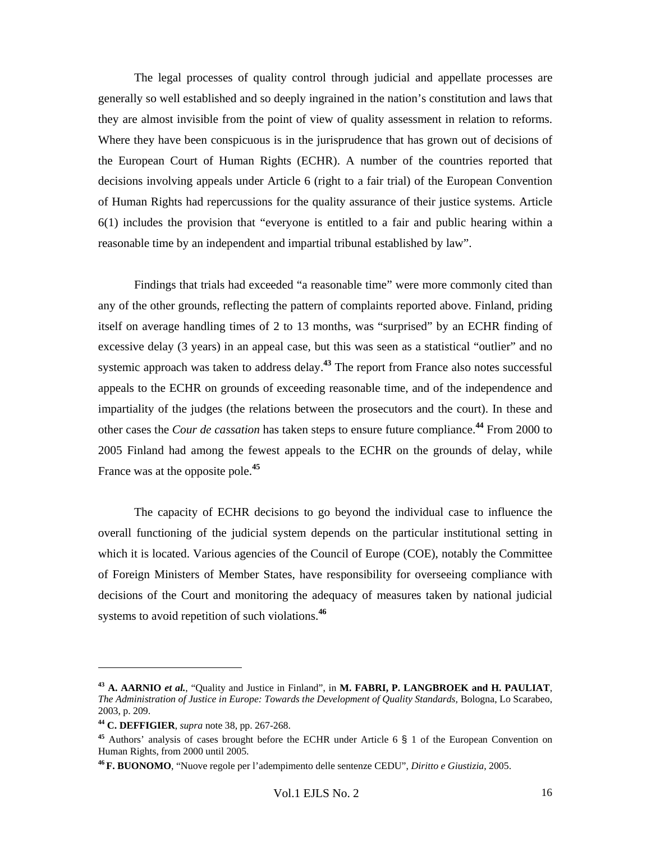The legal processes of quality control through judicial and appellate processes are generally so well established and so deeply ingrained in the nation's constitution and laws that they are almost invisible from the point of view of quality assessment in relation to reforms. Where they have been conspicuous is in the jurisprudence that has grown out of decisions of the European Court of Human Rights (ECHR). A number of the countries reported that decisions involving appeals under Article 6 (right to a fair trial) of the European Convention of Human Rights had repercussions for the quality assurance of their justice systems. Article 6(1) includes the provision that "everyone is entitled to a fair and public hearing within a reasonable time by an independent and impartial tribunal established by law".

Findings that trials had exceeded "a reasonable time" were more commonly cited than any of the other grounds, reflecting the pattern of complaints reported above. Finland, priding itself on average handling times of 2 to 13 months, was "surprised" by an ECHR finding of excessive delay (3 years) in an appeal case, but this was seen as a statistical "outlier" and no systemic approach was taken to address delay.**<sup>43</sup>** The report from France also notes successful appeals to the ECHR on grounds of exceeding reasonable time, and of the independence and impartiality of the judges (the relations between the prosecutors and the court). In these and other cases the *Cour de cassation* has taken steps to ensure future compliance.**<sup>44</sup>** From 2000 to 2005 Finland had among the fewest appeals to the ECHR on the grounds of delay, while France was at the opposite pole.**<sup>45</sup>**

The capacity of ECHR decisions to go beyond the individual case to influence the overall functioning of the judicial system depends on the particular institutional setting in which it is located. Various agencies of the Council of Europe (COE), notably the Committee of Foreign Ministers of Member States, have responsibility for overseeing compliance with decisions of the Court and monitoring the adequacy of measures taken by national judicial systems to avoid repetition of such violations.**<sup>46</sup>**

**<sup>43</sup> A. AARNIO** *et al.*, "Quality and Justice in Finland", in **M. FABRI, P. LANGBROEK and H. PAULIAT**, *The Administration of Justice in Europe: Towards the Development of Quality Standards, Bologna, Lo Scarabeo,* 2003, p. 209.

**<sup>44</sup> C. DEFFIGIER**, *supra* note 38, pp. 267-268.

**<sup>45</sup>** Authors' analysis of cases brought before the ECHR under Article 6 § 1 of the European Convention on Human Rights, from 2000 until 2005.

**<sup>46</sup> F. BUONOMO**, "Nuove regole per l'adempimento delle sentenze CEDU", *Diritto e Giustizia*, 2005.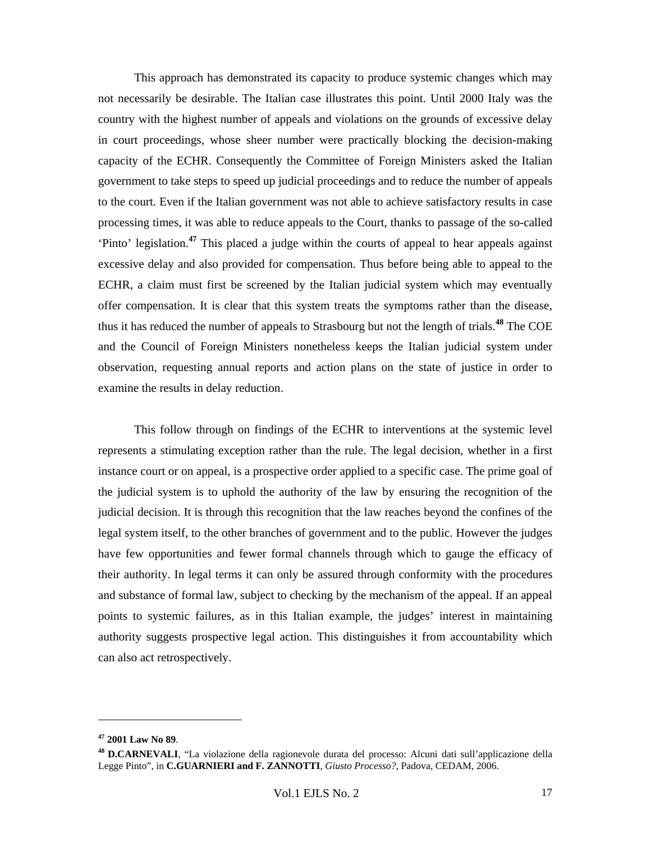This approach has demonstrated its capacity to produce systemic changes which may not necessarily be desirable. The Italian case illustrates this point. Until 2000 Italy was the country with the highest number of appeals and violations on the grounds of excessive delay in court proceedings, whose sheer number were practically blocking the decision-making capacity of the ECHR. Consequently the Committee of Foreign Ministers asked the Italian government to take steps to speed up judicial proceedings and to reduce the number of appeals to the court. Even if the Italian government was not able to achieve satisfactory results in case processing times, it was able to reduce appeals to the Court, thanks to passage of the so-called 'Pinto' legislation.**<sup>47</sup>** This placed a judge within the courts of appeal to hear appeals against excessive delay and also provided for compensation. Thus before being able to appeal to the ECHR, a claim must first be screened by the Italian judicial system which may eventually offer compensation. It is clear that this system treats the symptoms rather than the disease, thus it has reduced the number of appeals to Strasbourg but not the length of trials.**<sup>48</sup>** The COE and the Council of Foreign Ministers nonetheless keeps the Italian judicial system under observation, requesting annual reports and action plans on the state of justice in order to examine the results in delay reduction.

This follow through on findings of the ECHR to interventions at the systemic level represents a stimulating exception rather than the rule. The legal decision, whether in a first instance court or on appeal, is a prospective order applied to a specific case. The prime goal of the judicial system is to uphold the authority of the law by ensuring the recognition of the judicial decision. It is through this recognition that the law reaches beyond the confines of the legal system itself, to the other branches of government and to the public. However the judges have few opportunities and fewer formal channels through which to gauge the efficacy of their authority. In legal terms it can only be assured through conformity with the procedures and substance of formal law, subject to checking by the mechanism of the appeal. If an appeal points to systemic failures, as in this Italian example, the judges' interest in maintaining authority suggests prospective legal action. This distinguishes it from accountability which can also act retrospectively.

**<sup>47</sup> 2001 Law No 89**.

**<sup>48</sup> D.CARNEVALI**, "La violazione della ragionevole durata del processo: Alcuni dati sull'applicazione della Legge Pinto", in **C.GUARNIERI and F. ZANNOTTI**, *Giusto Processo?*, Padova, CEDAM, 2006.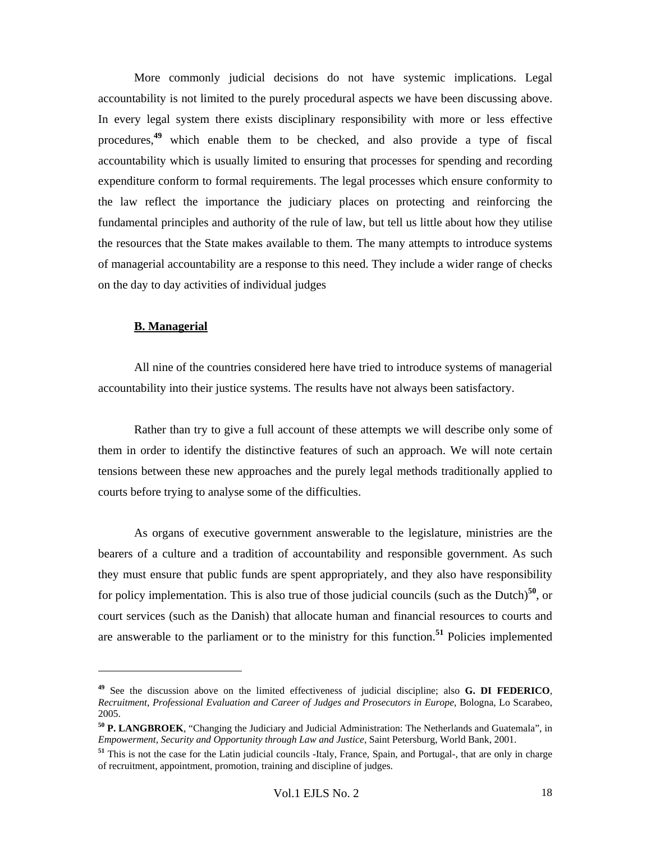More commonly judicial decisions do not have systemic implications. Legal accountability is not limited to the purely procedural aspects we have been discussing above. In every legal system there exists disciplinary responsibility with more or less effective procedures,**<sup>49</sup>** which enable them to be checked, and also provide a type of fiscal accountability which is usually limited to ensuring that processes for spending and recording expenditure conform to formal requirements. The legal processes which ensure conformity to the law reflect the importance the judiciary places on protecting and reinforcing the fundamental principles and authority of the rule of law, but tell us little about how they utilise the resources that the State makes available to them. The many attempts to introduce systems of managerial accountability are a response to this need. They include a wider range of checks on the day to day activities of individual judges

#### **B. Managerial**

 $\overline{a}$ 

All nine of the countries considered here have tried to introduce systems of managerial accountability into their justice systems. The results have not always been satisfactory.

Rather than try to give a full account of these attempts we will describe only some of them in order to identify the distinctive features of such an approach. We will note certain tensions between these new approaches and the purely legal methods traditionally applied to courts before trying to analyse some of the difficulties.

As organs of executive government answerable to the legislature, ministries are the bearers of a culture and a tradition of accountability and responsible government. As such they must ensure that public funds are spent appropriately, and they also have responsibility for policy implementation. This is also true of those judicial councils (such as the Dutch)**<sup>50</sup>**, or court services (such as the Danish) that allocate human and financial resources to courts and are answerable to the parliament or to the ministry for this function.**<sup>51</sup>** Policies implemented

**<sup>49</sup>** See the discussion above on the limited effectiveness of judicial discipline; also **G. DI FEDERICO**, *Recruitment, Professional Evaluation and Career of Judges and Prosecutors in Europe*, Bologna, Lo Scarabeo, 2005.

**<sup>50</sup> P. LANGBROEK**, "Changing the Judiciary and Judicial Administration: The Netherlands and Guatemala", in *Empowerment, Security and Opportunity through Law and Justice*, Saint Petersburg, World Bank, 2001.

**<sup>51</sup>** This is not the case for the Latin judicial councils -Italy, France, Spain, and Portugal-, that are only in charge of recruitment, appointment, promotion, training and discipline of judges.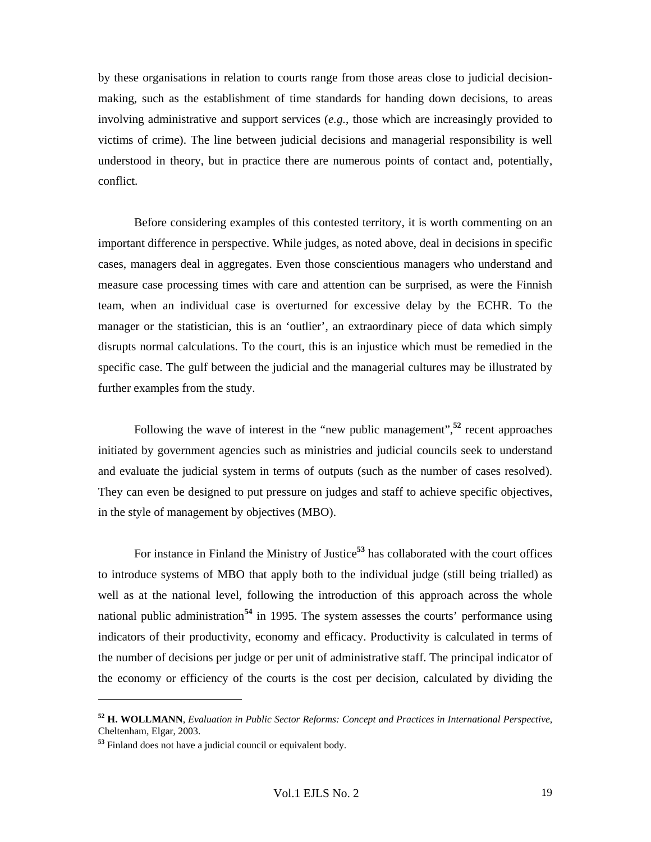by these organisations in relation to courts range from those areas close to judicial decisionmaking, such as the establishment of time standards for handing down decisions, to areas involving administrative and support services (*e.g.*, those which are increasingly provided to victims of crime). The line between judicial decisions and managerial responsibility is well understood in theory, but in practice there are numerous points of contact and, potentially, conflict.

Before considering examples of this contested territory, it is worth commenting on an important difference in perspective. While judges, as noted above, deal in decisions in specific cases, managers deal in aggregates. Even those conscientious managers who understand and measure case processing times with care and attention can be surprised, as were the Finnish team, when an individual case is overturned for excessive delay by the ECHR. To the manager or the statistician, this is an 'outlier', an extraordinary piece of data which simply disrupts normal calculations. To the court, this is an injustice which must be remedied in the specific case. The gulf between the judicial and the managerial cultures may be illustrated by further examples from the study.

Following the wave of interest in the "new public management",**<sup>52</sup>** recent approaches initiated by government agencies such as ministries and judicial councils seek to understand and evaluate the judicial system in terms of outputs (such as the number of cases resolved). They can even be designed to put pressure on judges and staff to achieve specific objectives, in the style of management by objectives (MBO).

For instance in Finland the Ministry of Justice**<sup>53</sup>** has collaborated with the court offices to introduce systems of MBO that apply both to the individual judge (still being trialled) as well as at the national level, following the introduction of this approach across the whole national public administration<sup>54</sup> in 1995. The system assesses the courts' performance using indicators of their productivity, economy and efficacy. Productivity is calculated in terms of the number of decisions per judge or per unit of administrative staff. The principal indicator of the economy or efficiency of the courts is the cost per decision, calculated by dividing the

**<sup>52</sup> H. WOLLMANN**, *Evaluation in Public Sector Reforms: Concept and Practices in International Perspective*, Cheltenham, Elgar, 2003.

**<sup>53</sup>** Finland does not have a judicial council or equivalent body.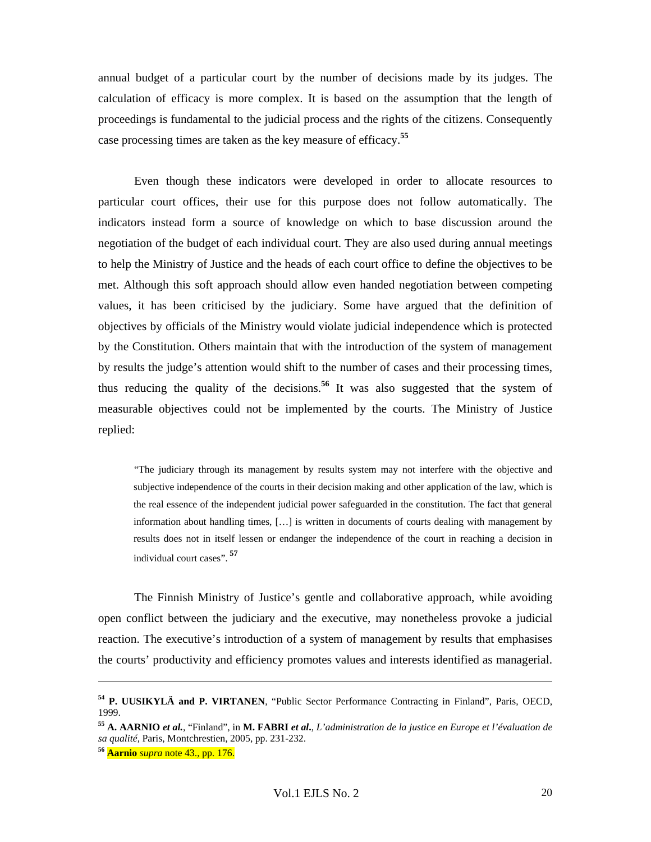annual budget of a particular court by the number of decisions made by its judges. The calculation of efficacy is more complex. It is based on the assumption that the length of proceedings is fundamental to the judicial process and the rights of the citizens. Consequently case processing times are taken as the key measure of efficacy.**<sup>55</sup>**

Even though these indicators were developed in order to allocate resources to particular court offices, their use for this purpose does not follow automatically. The indicators instead form a source of knowledge on which to base discussion around the negotiation of the budget of each individual court. They are also used during annual meetings to help the Ministry of Justice and the heads of each court office to define the objectives to be met. Although this soft approach should allow even handed negotiation between competing values, it has been criticised by the judiciary. Some have argued that the definition of objectives by officials of the Ministry would violate judicial independence which is protected by the Constitution. Others maintain that with the introduction of the system of management by results the judge's attention would shift to the number of cases and their processing times, thus reducing the quality of the decisions.**<sup>56</sup>** It was also suggested that the system of measurable objectives could not be implemented by the courts. The Ministry of Justice replied:

"The judiciary through its management by results system may not interfere with the objective and subjective independence of the courts in their decision making and other application of the law, which is the real essence of the independent judicial power safeguarded in the constitution. The fact that general information about handling times, […] is written in documents of courts dealing with management by results does not in itself lessen or endanger the independence of the court in reaching a decision in individual court cases".**<sup>57</sup>**

The Finnish Ministry of Justice's gentle and collaborative approach, while avoiding open conflict between the judiciary and the executive, may nonetheless provoke a judicial reaction. The executive's introduction of a system of management by results that emphasises the courts' productivity and efficiency promotes values and interests identified as managerial.

**<sup>54</sup> P. UUSIKYLÄ and P. VIRTANEN**, "Public Sector Performance Contracting in Finland", Paris, OECD, 1999.

**<sup>55</sup> A. AARNIO** *et al.*, "Finland", in **M. FABRI** *et al***.**, *L'administration de la justice en Europe et l'évaluation de sa qualité,* Paris, Montchrestien, 2005, pp. 231-232.

**<sup>56</sup> Aarnio** *supra* note 43., pp. 176.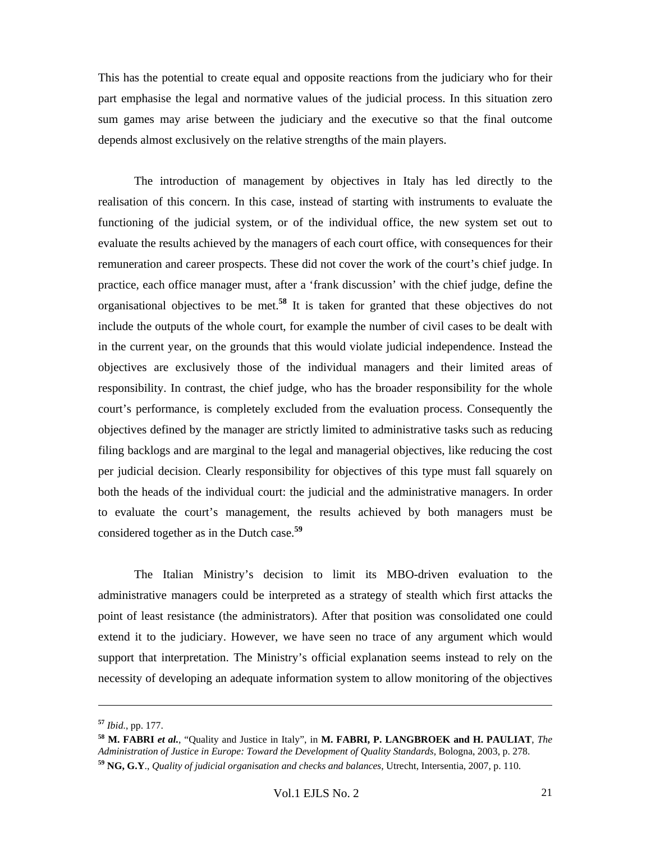This has the potential to create equal and opposite reactions from the judiciary who for their part emphasise the legal and normative values of the judicial process. In this situation zero sum games may arise between the judiciary and the executive so that the final outcome depends almost exclusively on the relative strengths of the main players.

The introduction of management by objectives in Italy has led directly to the realisation of this concern. In this case, instead of starting with instruments to evaluate the functioning of the judicial system, or of the individual office, the new system set out to evaluate the results achieved by the managers of each court office, with consequences for their remuneration and career prospects. These did not cover the work of the court's chief judge. In practice, each office manager must, after a 'frank discussion' with the chief judge, define the organisational objectives to be met.**<sup>58</sup>** It is taken for granted that these objectives do not include the outputs of the whole court, for example the number of civil cases to be dealt with in the current year, on the grounds that this would violate judicial independence. Instead the objectives are exclusively those of the individual managers and their limited areas of responsibility. In contrast, the chief judge, who has the broader responsibility for the whole court's performance, is completely excluded from the evaluation process. Consequently the objectives defined by the manager are strictly limited to administrative tasks such as reducing filing backlogs and are marginal to the legal and managerial objectives, like reducing the cost per judicial decision. Clearly responsibility for objectives of this type must fall squarely on both the heads of the individual court: the judicial and the administrative managers. In order to evaluate the court's management, the results achieved by both managers must be considered together as in the Dutch case.**<sup>59</sup>**

The Italian Ministry's decision to limit its MBO-driven evaluation to the administrative managers could be interpreted as a strategy of stealth which first attacks the point of least resistance (the administrators). After that position was consolidated one could extend it to the judiciary. However, we have seen no trace of any argument which would support that interpretation. The Ministry's official explanation seems instead to rely on the necessity of developing an adequate information system to allow monitoring of the objectives

**<sup>57</sup>** *Ibid.*, pp. 177.

**<sup>58</sup> M. FABRI** *et al.*, "Quality and Justice in Italy", in **M. FABRI, P. LANGBROEK and H. PAULIAT**, *The Administration of Justice in Europe: Toward the Development of Quality Standards,* Bologna, 2003, p. 278. **<sup>59</sup> NG, G.Y**., *Quality of judicial organisation and checks and balances*, Utrecht, Intersentia, 2007, p. 110.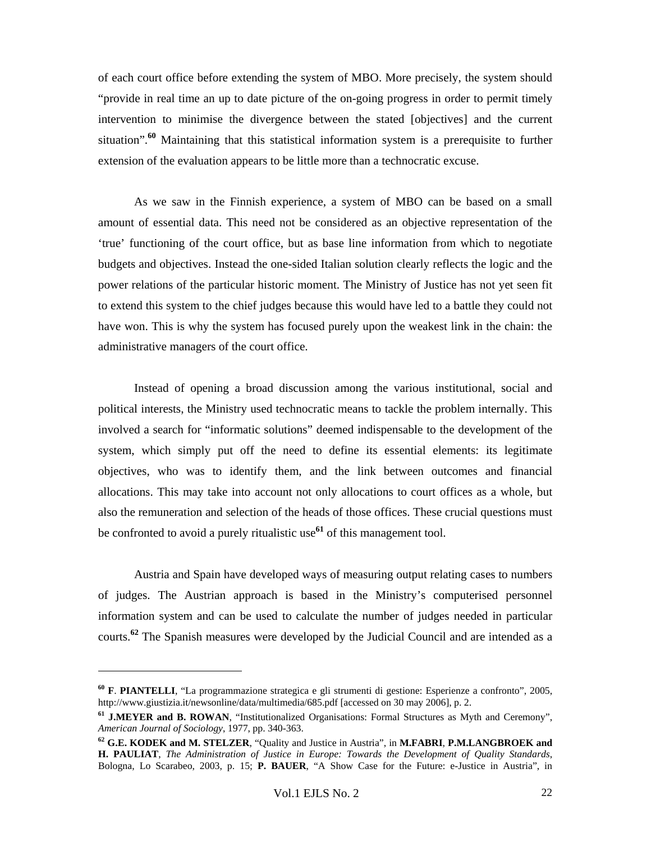of each court office before extending the system of MBO. More precisely, the system should "provide in real time an up to date picture of the on-going progress in order to permit timely intervention to minimise the divergence between the stated [objectives] and the current situation".**<sup>60</sup>** Maintaining that this statistical information system is a prerequisite to further extension of the evaluation appears to be little more than a technocratic excuse.

As we saw in the Finnish experience, a system of MBO can be based on a small amount of essential data. This need not be considered as an objective representation of the 'true' functioning of the court office, but as base line information from which to negotiate budgets and objectives. Instead the one-sided Italian solution clearly reflects the logic and the power relations of the particular historic moment. The Ministry of Justice has not yet seen fit to extend this system to the chief judges because this would have led to a battle they could not have won. This is why the system has focused purely upon the weakest link in the chain: the administrative managers of the court office.

Instead of opening a broad discussion among the various institutional, social and political interests, the Ministry used technocratic means to tackle the problem internally. This involved a search for "informatic solutions" deemed indispensable to the development of the system, which simply put off the need to define its essential elements: its legitimate objectives, who was to identify them, and the link between outcomes and financial allocations. This may take into account not only allocations to court offices as a whole, but also the remuneration and selection of the heads of those offices. These crucial questions must be confronted to avoid a purely ritualistic use**<sup>61</sup>** of this management tool.

Austria and Spain have developed ways of measuring output relating cases to numbers of judges. The Austrian approach is based in the Ministry's computerised personnel information system and can be used to calculate the number of judges needed in particular courts.**<sup>62</sup>** The Spanish measures were developed by the Judicial Council and are intended as a

**<sup>60</sup> F**. **PIANTELLI**, "La programmazione strategica e gli strumenti di gestione: Esperienze a confronto", 2005, http://www.giustizia.it/newsonline/data/multimedia/685.pdf [accessed on 30 may 2006], p. 2.

**<sup>61</sup> J.MEYER and B. ROWAN**, "Institutionalized Organisations: Formal Structures as Myth and Ceremony", *American Journal of Sociology*, 1977, pp. 340-363.

**<sup>62</sup> G.E. KODEK and M. STELZER**, "Quality and Justice in Austria", in **M.FABRI**, **P.M.LANGBROEK and H. PAULIAT**, *The Administration of Justice in Europe: Towards the Development of Quality Standards*, Bologna, Lo Scarabeo, 2003, p. 15; **P. BAUER**, "A Show Case for the Future: e-Justice in Austria", in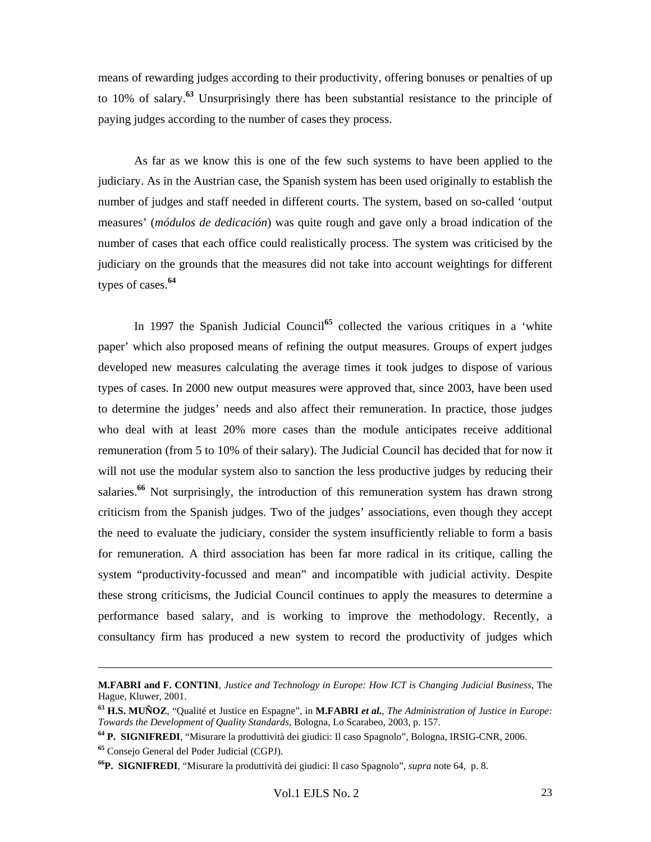means of rewarding judges according to their productivity, offering bonuses or penalties of up to 10% of salary.**<sup>63</sup>** Unsurprisingly there has been substantial resistance to the principle of paying judges according to the number of cases they process.

As far as we know this is one of the few such systems to have been applied to the judiciary. As in the Austrian case, the Spanish system has been used originally to establish the number of judges and staff needed in different courts. The system, based on so-called 'output measures' (*módulos de dedicación*) was quite rough and gave only a broad indication of the number of cases that each office could realistically process. The system was criticised by the judiciary on the grounds that the measures did not take into account weightings for different types of cases.**<sup>64</sup>**

In 1997 the Spanish Judicial Council<sup>65</sup> collected the various critiques in a 'white paper' which also proposed means of refining the output measures. Groups of expert judges developed new measures calculating the average times it took judges to dispose of various types of cases. In 2000 new output measures were approved that, since 2003, have been used to determine the judges' needs and also affect their remuneration. In practice, those judges who deal with at least 20% more cases than the module anticipates receive additional remuneration (from 5 to 10% of their salary). The Judicial Council has decided that for now it will not use the modular system also to sanction the less productive judges by reducing their salaries.**<sup>66</sup>** Not surprisingly, the introduction of this remuneration system has drawn strong criticism from the Spanish judges. Two of the judges' associations, even though they accept the need to evaluate the judiciary, consider the system insufficiently reliable to form a basis for remuneration. A third association has been far more radical in its critique, calling the system "productivity-focussed and mean" and incompatible with judicial activity. Despite these strong criticisms, the Judicial Council continues to apply the measures to determine a performance based salary, and is working to improve the methodology. Recently, a consultancy firm has produced a new system to record the productivity of judges which

**M.FABRI and F. CONTINI**, *Justice and Technology in Europe: How ICT is Changing Judicial Business,* The Hague, Kluwer, 2001.

**<sup>63</sup> H.S. MUÑOZ**, "Qualité et Justice en Espagne", in **M.FABRI** *et al.*, *The Administration of Justice in Europe: Towards the Development of Quality Standards,* Bologna, Lo Scarabeo, 2003, p. 157.

**<sup>64</sup> P. SIGNIFREDI**, "Misurare la produttività dei giudici: Il caso Spagnolo", Bologna, IRSIG-CNR, 2006.

**<sup>65</sup>** Consejo General del Poder Judicial (CGPJ).

**<sup>66</sup>P. SIGNIFREDI**, "Misurare la produttività dei giudici: Il caso Spagnolo", *supra* note 64, p. 8.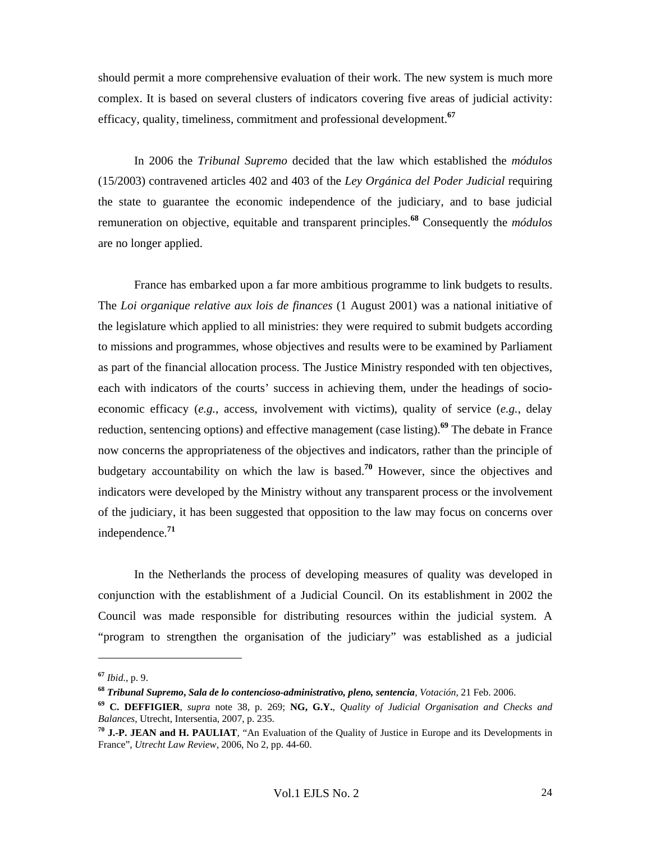should permit a more comprehensive evaluation of their work. The new system is much more complex. It is based on several clusters of indicators covering five areas of judicial activity: efficacy, quality, timeliness, commitment and professional development.**<sup>67</sup>**

In 2006 the *Tribunal Supremo* decided that the law which established the *módulos* (15/2003) contravened articles 402 and 403 of the *Ley Orgánica del Poder Judicial* requiring the state to guarantee the economic independence of the judiciary, and to base judicial remuneration on objective, equitable and transparent principles.**<sup>68</sup>** Consequently the *módulos* are no longer applied.

France has embarked upon a far more ambitious programme to link budgets to results. The *Loi organique relative aux lois de finances* (1 August 2001) was a national initiative of the legislature which applied to all ministries: they were required to submit budgets according to missions and programmes, whose objectives and results were to be examined by Parliament as part of the financial allocation process. The Justice Ministry responded with ten objectives, each with indicators of the courts' success in achieving them, under the headings of socioeconomic efficacy (*e.g.*, access, involvement with victims), quality of service (*e.g.*, delay reduction, sentencing options) and effective management (case listing).**<sup>69</sup>** The debate in France now concerns the appropriateness of the objectives and indicators, rather than the principle of budgetary accountability on which the law is based.**<sup>70</sup>** However, since the objectives and indicators were developed by the Ministry without any transparent process or the involvement of the judiciary, it has been suggested that opposition to the law may focus on concerns over independence.**<sup>71</sup>**

In the Netherlands the process of developing measures of quality was developed in conjunction with the establishment of a Judicial Council. On its establishment in 2002 the Council was made responsible for distributing resources within the judicial system. A "program to strengthen the organisation of the judiciary" was established as a judicial

**<sup>67</sup>** *Ibid.*, p. 9.

**<sup>68</sup>** *Tribunal Supremo***,** *Sala de lo contencioso-administrativo, pleno, sentencia*, *Votación*, 21 Feb. 2006.

**<sup>69</sup> C. DEFFIGIER**, *supra* note 38, p. 269; **NG, G.Y.**, *Quality of Judicial Organisation and Checks and Balances*, Utrecht, Intersentia, 2007, p. 235.

**<sup>70</sup> J.-P. JEAN and H. PAULIAT**, "An Evaluation of the Quality of Justice in Europe and its Developments in France", *Utrecht Law Review,* 2006, No 2, pp. 44-60.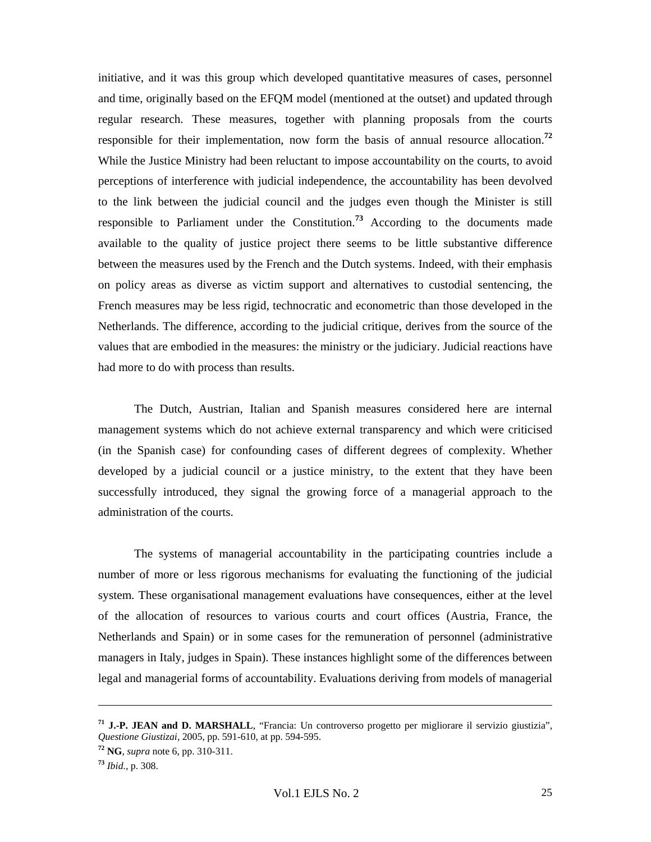initiative, and it was this group which developed quantitative measures of cases, personnel and time, originally based on the EFQM model (mentioned at the outset) and updated through regular research. These measures, together with planning proposals from the courts responsible for their implementation, now form the basis of annual resource allocation.**<sup>72</sup>** While the Justice Ministry had been reluctant to impose accountability on the courts, to avoid perceptions of interference with judicial independence, the accountability has been devolved to the link between the judicial council and the judges even though the Minister is still responsible to Parliament under the Constitution.**<sup>73</sup>** According to the documents made available to the quality of justice project there seems to be little substantive difference between the measures used by the French and the Dutch systems. Indeed, with their emphasis on policy areas as diverse as victim support and alternatives to custodial sentencing, the French measures may be less rigid, technocratic and econometric than those developed in the Netherlands. The difference, according to the judicial critique, derives from the source of the values that are embodied in the measures: the ministry or the judiciary. Judicial reactions have had more to do with process than results.

The Dutch, Austrian, Italian and Spanish measures considered here are internal management systems which do not achieve external transparency and which were criticised (in the Spanish case) for confounding cases of different degrees of complexity. Whether developed by a judicial council or a justice ministry, to the extent that they have been successfully introduced, they signal the growing force of a managerial approach to the administration of the courts.

The systems of managerial accountability in the participating countries include a number of more or less rigorous mechanisms for evaluating the functioning of the judicial system. These organisational management evaluations have consequences, either at the level of the allocation of resources to various courts and court offices (Austria, France, the Netherlands and Spain) or in some cases for the remuneration of personnel (administrative managers in Italy, judges in Spain). These instances highlight some of the differences between legal and managerial forms of accountability. Evaluations deriving from models of managerial

**<sup>71</sup> J.-P. JEAN and D. MARSHALL**, "Francia: Un controverso progetto per migliorare il servizio giustizia", *Questione Giustizai*, 2005, pp. 591-610, at pp. 594-595.

**<sup>72</sup> NG**, *supra* note 6, pp. 310-311.

**<sup>73</sup>** *Ibid.*, p. 308.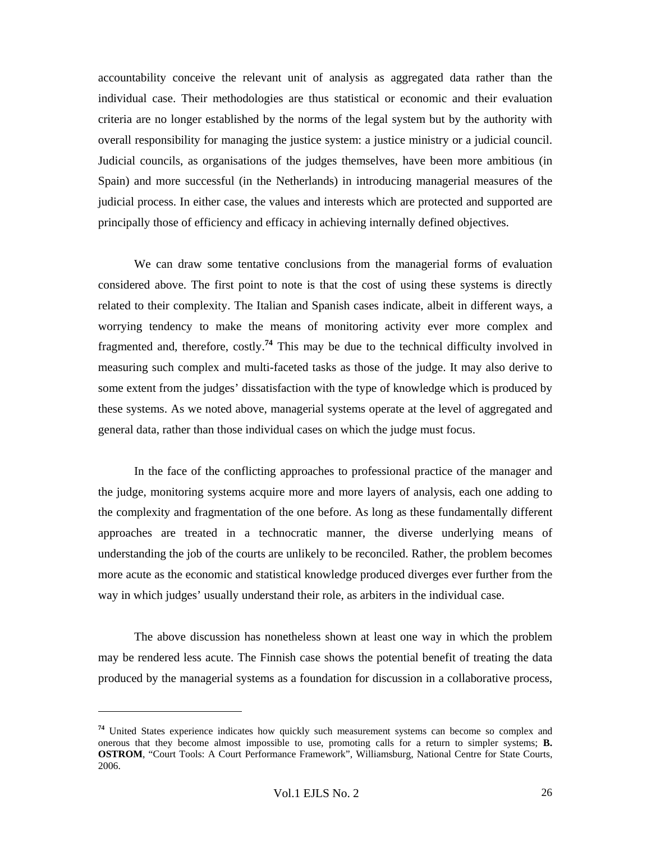accountability conceive the relevant unit of analysis as aggregated data rather than the individual case. Their methodologies are thus statistical or economic and their evaluation criteria are no longer established by the norms of the legal system but by the authority with overall responsibility for managing the justice system: a justice ministry or a judicial council. Judicial councils, as organisations of the judges themselves, have been more ambitious (in Spain) and more successful (in the Netherlands) in introducing managerial measures of the judicial process. In either case, the values and interests which are protected and supported are principally those of efficiency and efficacy in achieving internally defined objectives.

We can draw some tentative conclusions from the managerial forms of evaluation considered above. The first point to note is that the cost of using these systems is directly related to their complexity. The Italian and Spanish cases indicate, albeit in different ways, a worrying tendency to make the means of monitoring activity ever more complex and fragmented and, therefore, costly.**<sup>74</sup>** This may be due to the technical difficulty involved in measuring such complex and multi-faceted tasks as those of the judge. It may also derive to some extent from the judges' dissatisfaction with the type of knowledge which is produced by these systems. As we noted above, managerial systems operate at the level of aggregated and general data, rather than those individual cases on which the judge must focus.

In the face of the conflicting approaches to professional practice of the manager and the judge, monitoring systems acquire more and more layers of analysis, each one adding to the complexity and fragmentation of the one before. As long as these fundamentally different approaches are treated in a technocratic manner, the diverse underlying means of understanding the job of the courts are unlikely to be reconciled. Rather, the problem becomes more acute as the economic and statistical knowledge produced diverges ever further from the way in which judges' usually understand their role, as arbiters in the individual case.

The above discussion has nonetheless shown at least one way in which the problem may be rendered less acute. The Finnish case shows the potential benefit of treating the data produced by the managerial systems as a foundation for discussion in a collaborative process,

**<sup>74</sup>** United States experience indicates how quickly such measurement systems can become so complex and onerous that they become almost impossible to use, promoting calls for a return to simpler systems; **B. OSTROM**, "Court Tools: A Court Performance Framework", Williamsburg, National Centre for State Courts, 2006.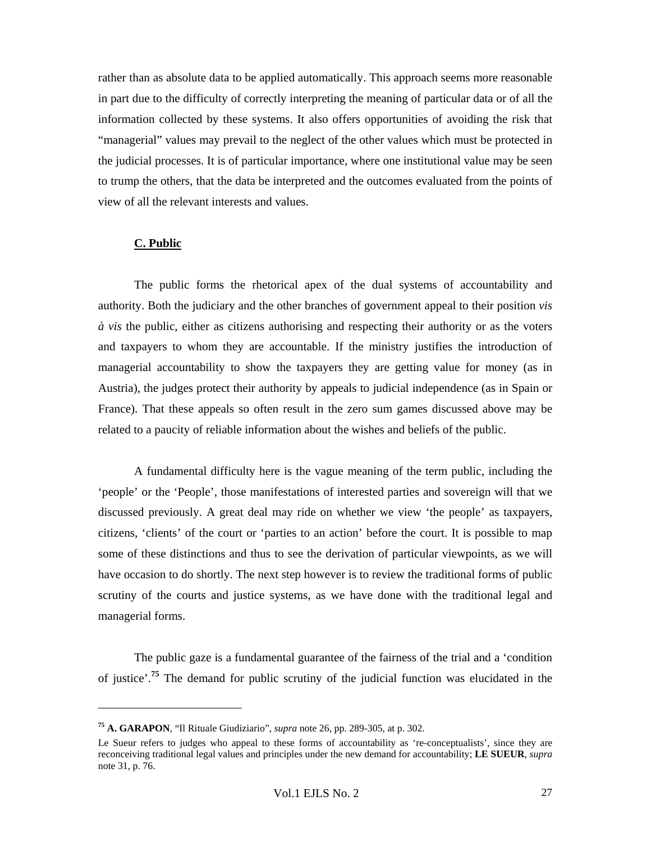rather than as absolute data to be applied automatically. This approach seems more reasonable in part due to the difficulty of correctly interpreting the meaning of particular data or of all the information collected by these systems. It also offers opportunities of avoiding the risk that "managerial" values may prevail to the neglect of the other values which must be protected in the judicial processes. It is of particular importance, where one institutional value may be seen to trump the others, that the data be interpreted and the outcomes evaluated from the points of view of all the relevant interests and values.

### **C. Public**

 $\overline{a}$ 

The public forms the rhetorical apex of the dual systems of accountability and authority. Both the judiciary and the other branches of government appeal to their position *vis à vis* the public, either as citizens authorising and respecting their authority or as the voters and taxpayers to whom they are accountable. If the ministry justifies the introduction of managerial accountability to show the taxpayers they are getting value for money (as in Austria), the judges protect their authority by appeals to judicial independence (as in Spain or France). That these appeals so often result in the zero sum games discussed above may be related to a paucity of reliable information about the wishes and beliefs of the public.

A fundamental difficulty here is the vague meaning of the term public, including the 'people' or the 'People', those manifestations of interested parties and sovereign will that we discussed previously. A great deal may ride on whether we view 'the people' as taxpayers, citizens, 'clients' of the court or 'parties to an action' before the court. It is possible to map some of these distinctions and thus to see the derivation of particular viewpoints, as we will have occasion to do shortly. The next step however is to review the traditional forms of public scrutiny of the courts and justice systems, as we have done with the traditional legal and managerial forms.

The public gaze is a fundamental guarantee of the fairness of the trial and a 'condition of justice'.**<sup>75</sup>** The demand for public scrutiny of the judicial function was elucidated in the

**<sup>75</sup> A. GARAPON**, "Il Rituale Giudiziario", *supra* note 26, pp. 289-305, at p. 302.

Le Sueur refers to judges who appeal to these forms of accountability as 're-conceptualists', since they are reconceiving traditional legal values and principles under the new demand for accountability; **LE SUEUR**, *supra*  note 31, p. 76.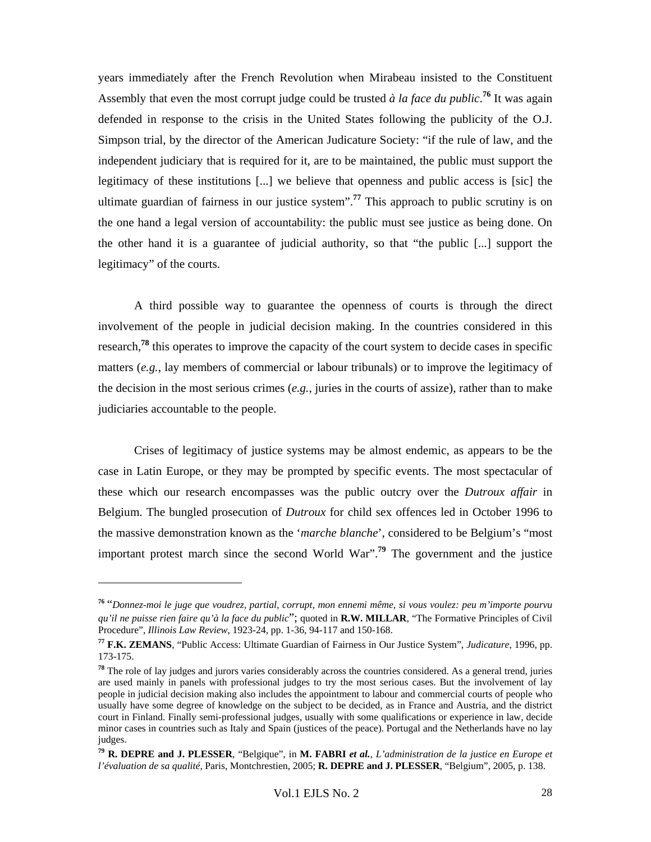years immediately after the French Revolution when Mirabeau insisted to the Constituent Assembly that even the most corrupt judge could be trusted *à la face du public*. **<sup>76</sup>** It was again defended in response to the crisis in the United States following the publicity of the O.J. Simpson trial, by the director of the American Judicature Society: "if the rule of law, and the independent judiciary that is required for it, are to be maintained, the public must support the legitimacy of these institutions [...] we believe that openness and public access is [sic] the ultimate guardian of fairness in our justice system".**<sup>77</sup>** This approach to public scrutiny is on the one hand a legal version of accountability: the public must see justice as being done. On the other hand it is a guarantee of judicial authority, so that "the public [...] support the legitimacy" of the courts.

A third possible way to guarantee the openness of courts is through the direct involvement of the people in judicial decision making. In the countries considered in this research,**<sup>78</sup>** this operates to improve the capacity of the court system to decide cases in specific matters (*e.g.*, lay members of commercial or labour tribunals) or to improve the legitimacy of the decision in the most serious crimes (*e.g.*, juries in the courts of assize), rather than to make judiciaries accountable to the people.

Crises of legitimacy of justice systems may be almost endemic, as appears to be the case in Latin Europe, or they may be prompted by specific events. The most spectacular of these which our research encompasses was the public outcry over the *Dutroux affair* in Belgium. The bungled prosecution of *Dutroux* for child sex offences led in October 1996 to the massive demonstration known as the '*marche blanche*', considered to be Belgium's "most important protest march since the second World War".**<sup>79</sup>** The government and the justice

**<sup>76</sup>** "*Donnez-moi le juge que voudrez, partial, corrupt, mon ennemi même, si vous voulez: peu m'importe pourvu qu'il ne puisse rien faire qu'à la face du public*"; quoted in **R.W. MILLAR**, "The Formative Principles of Civil Procedure", *Illinois Law Review*, 1923-24, pp. 1-36, 94-117 and 150-168.

**<sup>77</sup> F.K. ZEMANS**, "Public Access: Ultimate Guardian of Fairness in Our Justice System", *Judicature*, 1996, pp. 173-175.

**<sup>78</sup>** The role of lay judges and jurors varies considerably across the countries considered. As a general trend, juries are used mainly in panels with professional judges to try the most serious cases. But the involvement of lay people in judicial decision making also includes the appointment to labour and commercial courts of people who usually have some degree of knowledge on the subject to be decided, as in France and Austria, and the district court in Finland. Finally semi-professional judges, usually with some qualifications or experience in law, decide minor cases in countries such as Italy and Spain (justices of the peace). Portugal and the Netherlands have no lay judges.

**<sup>79</sup> R. DEPRE and J. PLESSER**, "Belgique", in **M. FABRI** *et al.*, *L'administration de la justice en Europe et l'évaluation de sa qualité,* Paris, Montchrestien, 2005; **R. DEPRE and J. PLESSER**, "Belgium", 2005, p. 138.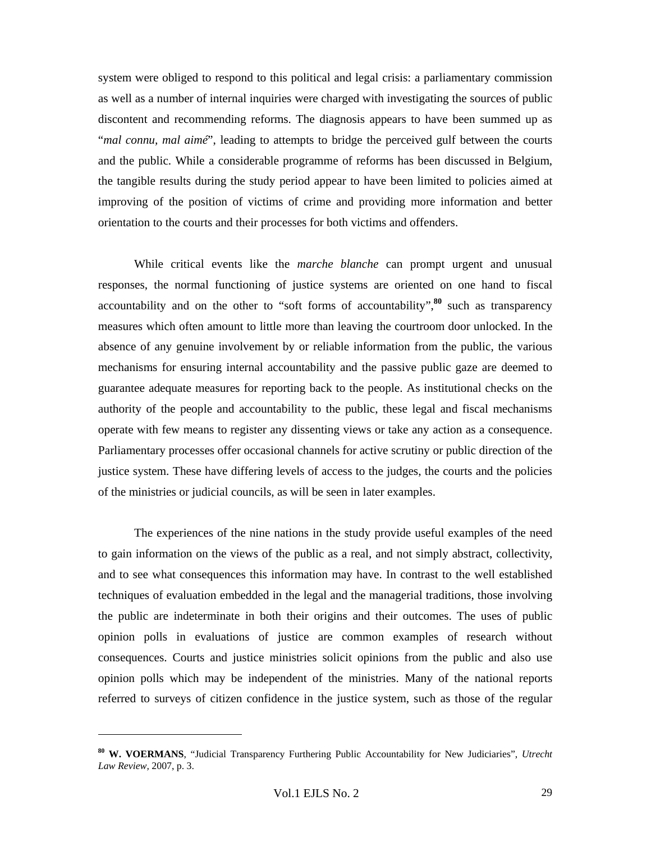system were obliged to respond to this political and legal crisis: a parliamentary commission as well as a number of internal inquiries were charged with investigating the sources of public discontent and recommending reforms. The diagnosis appears to have been summed up as "*mal connu, mal aimé*", leading to attempts to bridge the perceived gulf between the courts and the public. While a considerable programme of reforms has been discussed in Belgium, the tangible results during the study period appear to have been limited to policies aimed at improving of the position of victims of crime and providing more information and better orientation to the courts and their processes for both victims and offenders.

While critical events like the *marche blanche* can prompt urgent and unusual responses, the normal functioning of justice systems are oriented on one hand to fiscal accountability and on the other to "soft forms of accountability",**<sup>80</sup>** such as transparency measures which often amount to little more than leaving the courtroom door unlocked. In the absence of any genuine involvement by or reliable information from the public, the various mechanisms for ensuring internal accountability and the passive public gaze are deemed to guarantee adequate measures for reporting back to the people. As institutional checks on the authority of the people and accountability to the public, these legal and fiscal mechanisms operate with few means to register any dissenting views or take any action as a consequence. Parliamentary processes offer occasional channels for active scrutiny or public direction of the justice system. These have differing levels of access to the judges, the courts and the policies of the ministries or judicial councils, as will be seen in later examples.

The experiences of the nine nations in the study provide useful examples of the need to gain information on the views of the public as a real, and not simply abstract, collectivity, and to see what consequences this information may have. In contrast to the well established techniques of evaluation embedded in the legal and the managerial traditions, those involving the public are indeterminate in both their origins and their outcomes. The uses of public opinion polls in evaluations of justice are common examples of research without consequences. Courts and justice ministries solicit opinions from the public and also use opinion polls which may be independent of the ministries. Many of the national reports referred to surveys of citizen confidence in the justice system, such as those of the regular

**<sup>80</sup> W. VOERMANS**, "Judicial Transparency Furthering Public Accountability for New Judiciaries", *Utrecht Law Review,* 2007, p. 3.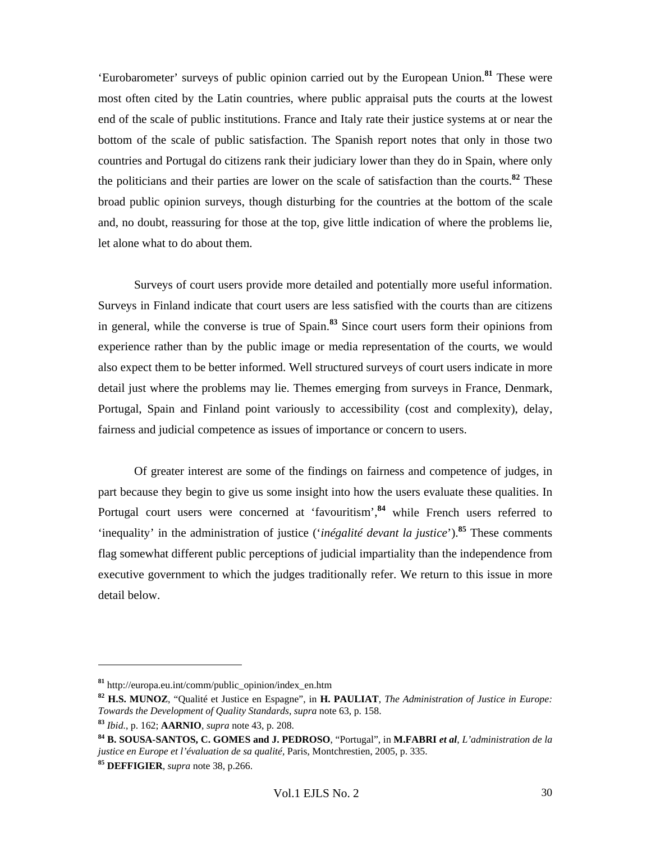'Eurobarometer' surveys of public opinion carried out by the European Union.**<sup>81</sup>** These were most often cited by the Latin countries, where public appraisal puts the courts at the lowest end of the scale of public institutions. France and Italy rate their justice systems at or near the bottom of the scale of public satisfaction. The Spanish report notes that only in those two countries and Portugal do citizens rank their judiciary lower than they do in Spain, where only the politicians and their parties are lower on the scale of satisfaction than the courts.**<sup>82</sup>** These broad public opinion surveys, though disturbing for the countries at the bottom of the scale and, no doubt, reassuring for those at the top, give little indication of where the problems lie, let alone what to do about them.

Surveys of court users provide more detailed and potentially more useful information. Surveys in Finland indicate that court users are less satisfied with the courts than are citizens in general, while the converse is true of Spain.**<sup>83</sup>** Since court users form their opinions from experience rather than by the public image or media representation of the courts, we would also expect them to be better informed. Well structured surveys of court users indicate in more detail just where the problems may lie. Themes emerging from surveys in France, Denmark, Portugal, Spain and Finland point variously to accessibility (cost and complexity), delay, fairness and judicial competence as issues of importance or concern to users.

Of greater interest are some of the findings on fairness and competence of judges, in part because they begin to give us some insight into how the users evaluate these qualities. In Portugal court users were concerned at 'favouritism',<sup>84</sup> while French users referred to 'inequality' in the administration of justice ('*inégalité devant la justice*').**<sup>85</sup>** These comments flag somewhat different public perceptions of judicial impartiality than the independence from executive government to which the judges traditionally refer. We return to this issue in more detail below.

**<sup>81</sup>** http://europa.eu.int/comm/public\_opinion/index\_en.htm

**<sup>82</sup> H.S. MUNOZ**, "Qualité et Justice en Espagne", in **H. PAULIAT**, *The Administration of Justice in Europe: Towards the Development of Quality Standards*, *supra* note 63, p. 158.

**<sup>83</sup>** *Ibid.*, p. 162; **AARNIO**, *supra* note 43, p. 208.

**<sup>84</sup> B. SOUSA-SANTOS, C. GOMES and J. PEDROSO**, "Portugal", in **M.FABRI** *et al*, *L'administration de la justice en Europe et l'évaluation de sa qualité,* Paris, Montchrestien, 2005, p. 335.

**<sup>85</sup> DEFFIGIER**, *supra* note 38, p.266.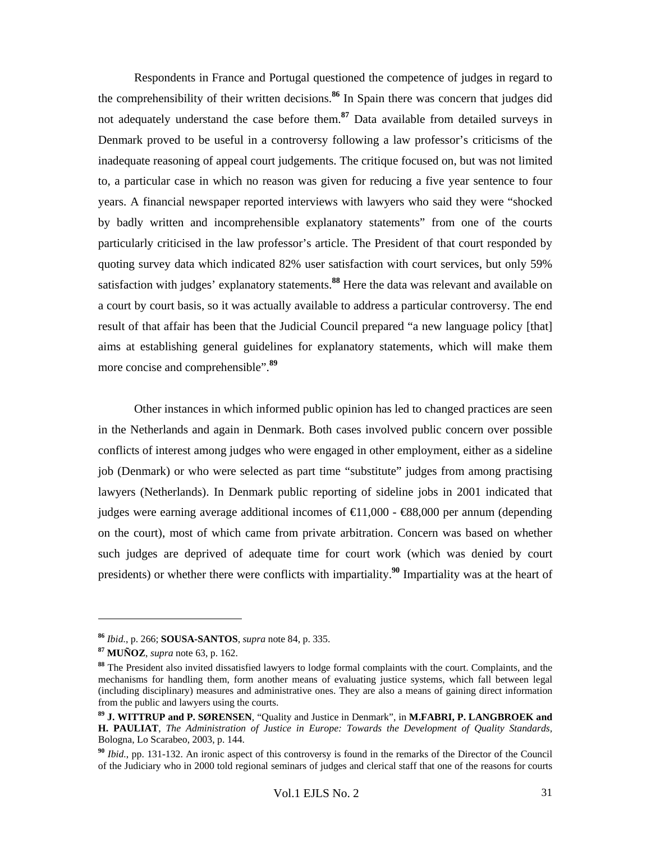Respondents in France and Portugal questioned the competence of judges in regard to the comprehensibility of their written decisions.**<sup>86</sup>** In Spain there was concern that judges did not adequately understand the case before them.**<sup>87</sup>** Data available from detailed surveys in Denmark proved to be useful in a controversy following a law professor's criticisms of the inadequate reasoning of appeal court judgements. The critique focused on, but was not limited to, a particular case in which no reason was given for reducing a five year sentence to four years. A financial newspaper reported interviews with lawyers who said they were "shocked by badly written and incomprehensible explanatory statements" from one of the courts particularly criticised in the law professor's article. The President of that court responded by quoting survey data which indicated 82% user satisfaction with court services, but only 59% satisfaction with judges' explanatory statements.**<sup>88</sup>** Here the data was relevant and available on a court by court basis, so it was actually available to address a particular controversy. The end result of that affair has been that the Judicial Council prepared "a new language policy [that] aims at establishing general guidelines for explanatory statements, which will make them more concise and comprehensible".**<sup>89</sup>**

Other instances in which informed public opinion has led to changed practices are seen in the Netherlands and again in Denmark. Both cases involved public concern over possible conflicts of interest among judges who were engaged in other employment, either as a sideline job (Denmark) or who were selected as part time "substitute" judges from among practising lawyers (Netherlands). In Denmark public reporting of sideline jobs in 2001 indicated that judges were earning average additional incomes of  $\in$  1,000 -  $\in$ 88,000 per annum (depending on the court), most of which came from private arbitration. Concern was based on whether such judges are deprived of adequate time for court work (which was denied by court presidents) or whether there were conflicts with impartiality.**<sup>90</sup>** Impartiality was at the heart of

**<sup>86</sup>** *Ibid.*, p. 266; **SOUSA-SANTOS**, *supra* note 84, p. 335.

**<sup>87</sup> MUÑOZ**, *supra* note 63, p. 162.

**<sup>88</sup>** The President also invited dissatisfied lawyers to lodge formal complaints with the court. Complaints, and the mechanisms for handling them, form another means of evaluating justice systems, which fall between legal (including disciplinary) measures and administrative ones. They are also a means of gaining direct information from the public and lawyers using the courts.

**<sup>89</sup> J. WITTRUP and P. SØRENSEN**, "Quality and Justice in Denmark", in **M.FABRI, P. LANGBROEK and H. PAULIAT**, *The Administration of Justice in Europe: Towards the Development of Quality Standards,* Bologna, Lo Scarabeo, 2003, p. 144.

**<sup>90</sup>** *Ibid.*, pp. 131-132. An ironic aspect of this controversy is found in the remarks of the Director of the Council of the Judiciary who in 2000 told regional seminars of judges and clerical staff that one of the reasons for courts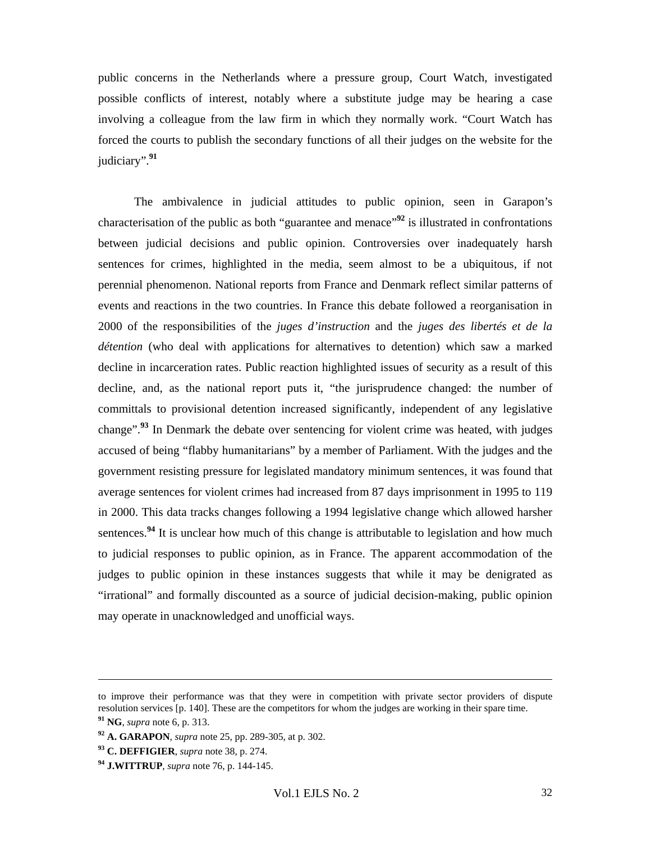public concerns in the Netherlands where a pressure group, Court Watch, investigated possible conflicts of interest, notably where a substitute judge may be hearing a case involving a colleague from the law firm in which they normally work. "Court Watch has forced the courts to publish the secondary functions of all their judges on the website for the judiciary".**<sup>91</sup>**

The ambivalence in judicial attitudes to public opinion, seen in Garapon's characterisation of the public as both "guarantee and menace"**<sup>92</sup>** is illustrated in confrontations between judicial decisions and public opinion. Controversies over inadequately harsh sentences for crimes, highlighted in the media, seem almost to be a ubiquitous, if not perennial phenomenon. National reports from France and Denmark reflect similar patterns of events and reactions in the two countries. In France this debate followed a reorganisation in 2000 of the responsibilities of the *juges d'instruction* and the *juges des libertés et de la détention* (who deal with applications for alternatives to detention) which saw a marked decline in incarceration rates. Public reaction highlighted issues of security as a result of this decline, and, as the national report puts it, "the jurisprudence changed: the number of committals to provisional detention increased significantly, independent of any legislative change".**<sup>93</sup>** In Denmark the debate over sentencing for violent crime was heated, with judges accused of being "flabby humanitarians" by a member of Parliament. With the judges and the government resisting pressure for legislated mandatory minimum sentences, it was found that average sentences for violent crimes had increased from 87 days imprisonment in 1995 to 119 in 2000. This data tracks changes following a 1994 legislative change which allowed harsher sentences.<sup>94</sup> It is unclear how much of this change is attributable to legislation and how much to judicial responses to public opinion, as in France. The apparent accommodation of the judges to public opinion in these instances suggests that while it may be denigrated as "irrational" and formally discounted as a source of judicial decision-making, public opinion may operate in unacknowledged and unofficial ways.

l

**<sup>93</sup> C. DEFFIGIER**, *supra* note 38, p. 274.

to improve their performance was that they were in competition with private sector providers of dispute resolution services [p. 140]. These are the competitors for whom the judges are working in their spare time.

**<sup>91</sup> NG**, *supra* note 6, p. 313.

**<sup>92</sup> A. GARAPON**, *supra* note 25, pp. 289-305, at p. 302.

**<sup>94</sup> J.WITTRUP**, *supra* note 76, p. 144-145.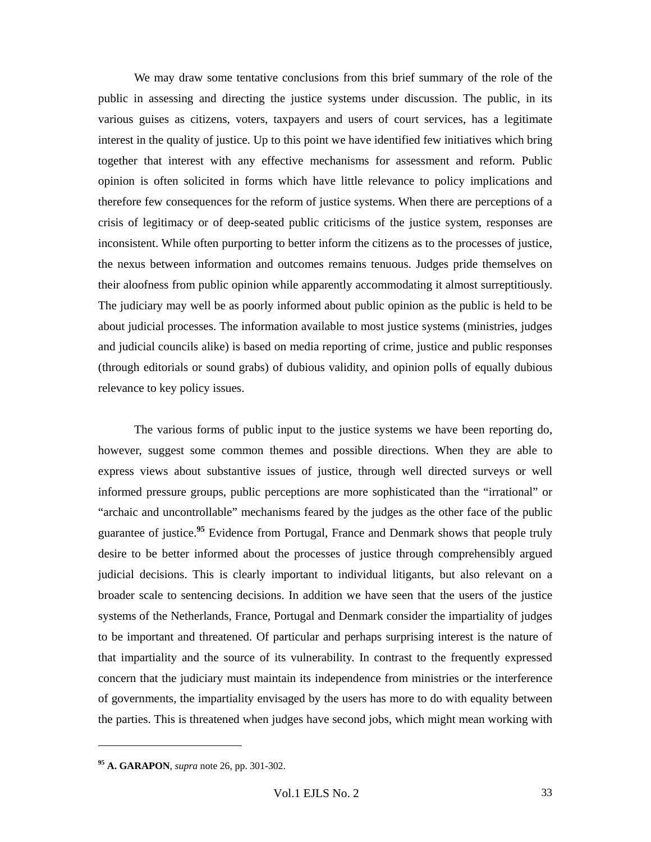We may draw some tentative conclusions from this brief summary of the role of the public in assessing and directing the justice systems under discussion. The public, in its various guises as citizens, voters, taxpayers and users of court services, has a legitimate interest in the quality of justice. Up to this point we have identified few initiatives which bring together that interest with any effective mechanisms for assessment and reform. Public opinion is often solicited in forms which have little relevance to policy implications and therefore few consequences for the reform of justice systems. When there are perceptions of a crisis of legitimacy or of deep-seated public criticisms of the justice system, responses are inconsistent. While often purporting to better inform the citizens as to the processes of justice, the nexus between information and outcomes remains tenuous. Judges pride themselves on their aloofness from public opinion while apparently accommodating it almost surreptitiously. The judiciary may well be as poorly informed about public opinion as the public is held to be about judicial processes. The information available to most justice systems (ministries, judges and judicial councils alike) is based on media reporting of crime, justice and public responses (through editorials or sound grabs) of dubious validity, and opinion polls of equally dubious relevance to key policy issues.

The various forms of public input to the justice systems we have been reporting do, however, suggest some common themes and possible directions. When they are able to express views about substantive issues of justice, through well directed surveys or well informed pressure groups, public perceptions are more sophisticated than the "irrational" or "archaic and uncontrollable" mechanisms feared by the judges as the other face of the public guarantee of justice.**<sup>95</sup>** Evidence from Portugal, France and Denmark shows that people truly desire to be better informed about the processes of justice through comprehensibly argued judicial decisions. This is clearly important to individual litigants, but also relevant on a broader scale to sentencing decisions. In addition we have seen that the users of the justice systems of the Netherlands, France, Portugal and Denmark consider the impartiality of judges to be important and threatened. Of particular and perhaps surprising interest is the nature of that impartiality and the source of its vulnerability. In contrast to the frequently expressed concern that the judiciary must maintain its independence from ministries or the interference of governments, the impartiality envisaged by the users has more to do with equality between the parties. This is threatened when judges have second jobs, which might mean working with

**<sup>95</sup> A. GARAPON**, *supra* note 26, pp. 301-302.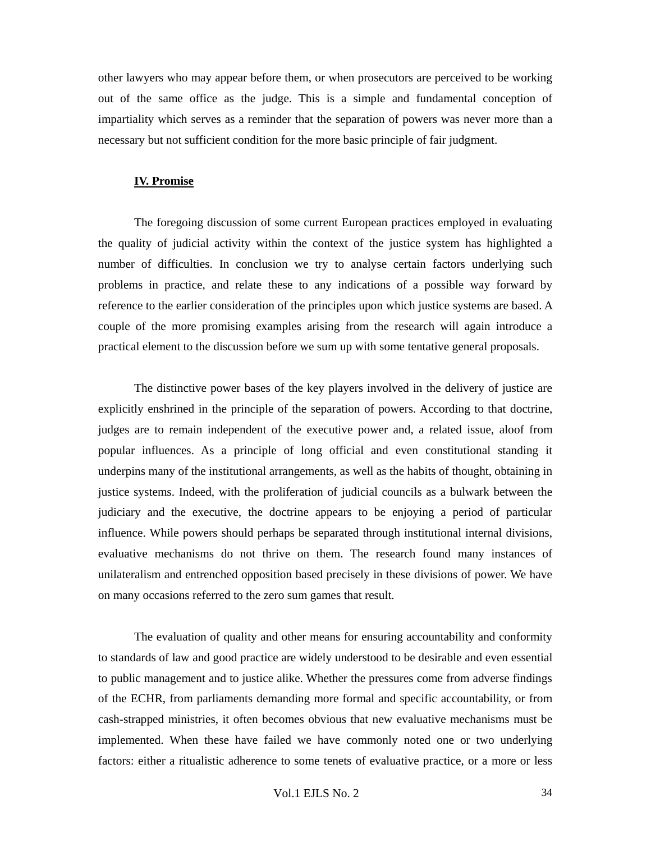other lawyers who may appear before them, or when prosecutors are perceived to be working out of the same office as the judge. This is a simple and fundamental conception of impartiality which serves as a reminder that the separation of powers was never more than a necessary but not sufficient condition for the more basic principle of fair judgment.

#### **IV. Promise**

The foregoing discussion of some current European practices employed in evaluating the quality of judicial activity within the context of the justice system has highlighted a number of difficulties. In conclusion we try to analyse certain factors underlying such problems in practice, and relate these to any indications of a possible way forward by reference to the earlier consideration of the principles upon which justice systems are based. A couple of the more promising examples arising from the research will again introduce a practical element to the discussion before we sum up with some tentative general proposals.

The distinctive power bases of the key players involved in the delivery of justice are explicitly enshrined in the principle of the separation of powers. According to that doctrine, judges are to remain independent of the executive power and, a related issue, aloof from popular influences. As a principle of long official and even constitutional standing it underpins many of the institutional arrangements, as well as the habits of thought, obtaining in justice systems. Indeed, with the proliferation of judicial councils as a bulwark between the judiciary and the executive, the doctrine appears to be enjoying a period of particular influence. While powers should perhaps be separated through institutional internal divisions, evaluative mechanisms do not thrive on them. The research found many instances of unilateralism and entrenched opposition based precisely in these divisions of power. We have on many occasions referred to the zero sum games that result.

The evaluation of quality and other means for ensuring accountability and conformity to standards of law and good practice are widely understood to be desirable and even essential to public management and to justice alike. Whether the pressures come from adverse findings of the ECHR, from parliaments demanding more formal and specific accountability, or from cash-strapped ministries, it often becomes obvious that new evaluative mechanisms must be implemented. When these have failed we have commonly noted one or two underlying factors: either a ritualistic adherence to some tenets of evaluative practice, or a more or less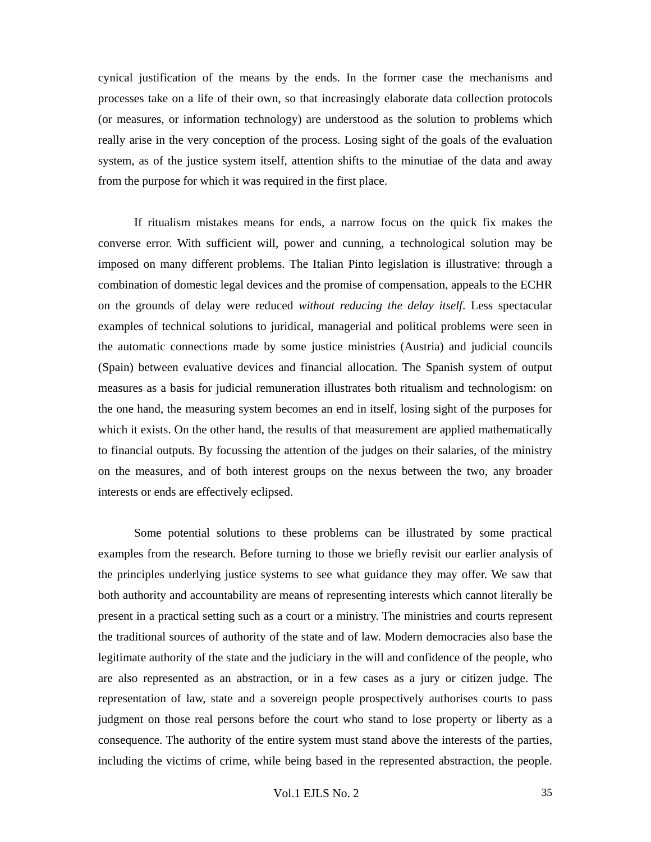cynical justification of the means by the ends. In the former case the mechanisms and processes take on a life of their own, so that increasingly elaborate data collection protocols (or measures, or information technology) are understood as the solution to problems which really arise in the very conception of the process. Losing sight of the goals of the evaluation system, as of the justice system itself, attention shifts to the minutiae of the data and away from the purpose for which it was required in the first place.

If ritualism mistakes means for ends, a narrow focus on the quick fix makes the converse error. With sufficient will, power and cunning, a technological solution may be imposed on many different problems. The Italian Pinto legislation is illustrative: through a combination of domestic legal devices and the promise of compensation, appeals to the ECHR on the grounds of delay were reduced *without reducing the delay itself*. Less spectacular examples of technical solutions to juridical, managerial and political problems were seen in the automatic connections made by some justice ministries (Austria) and judicial councils (Spain) between evaluative devices and financial allocation. The Spanish system of output measures as a basis for judicial remuneration illustrates both ritualism and technologism: on the one hand, the measuring system becomes an end in itself, losing sight of the purposes for which it exists. On the other hand, the results of that measurement are applied mathematically to financial outputs. By focussing the attention of the judges on their salaries, of the ministry on the measures, and of both interest groups on the nexus between the two, any broader interests or ends are effectively eclipsed.

Some potential solutions to these problems can be illustrated by some practical examples from the research. Before turning to those we briefly revisit our earlier analysis of the principles underlying justice systems to see what guidance they may offer. We saw that both authority and accountability are means of representing interests which cannot literally be present in a practical setting such as a court or a ministry. The ministries and courts represent the traditional sources of authority of the state and of law. Modern democracies also base the legitimate authority of the state and the judiciary in the will and confidence of the people, who are also represented as an abstraction, or in a few cases as a jury or citizen judge. The representation of law, state and a sovereign people prospectively authorises courts to pass judgment on those real persons before the court who stand to lose property or liberty as a consequence. The authority of the entire system must stand above the interests of the parties, including the victims of crime, while being based in the represented abstraction, the people.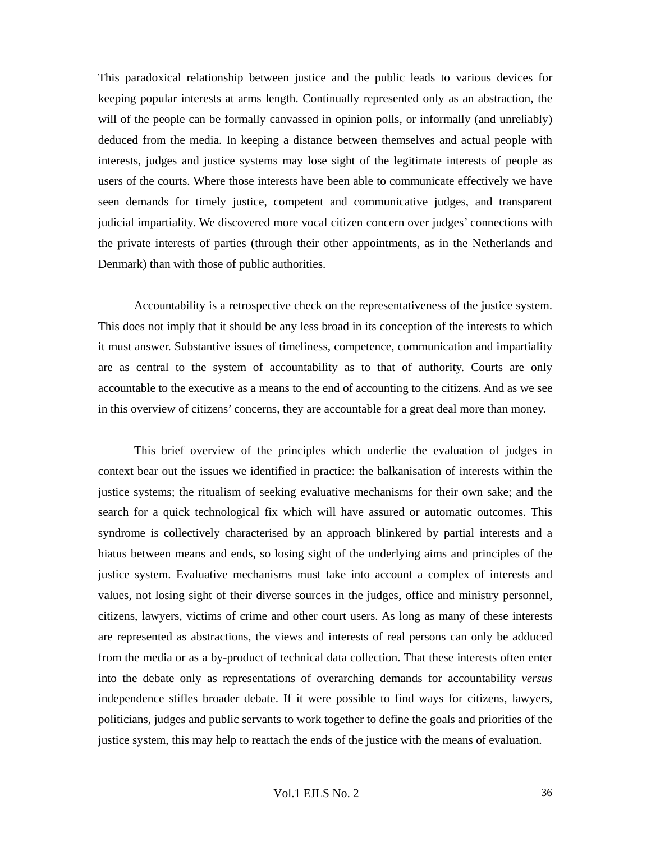This paradoxical relationship between justice and the public leads to various devices for keeping popular interests at arms length. Continually represented only as an abstraction, the will of the people can be formally canvassed in opinion polls, or informally (and unreliably) deduced from the media. In keeping a distance between themselves and actual people with interests, judges and justice systems may lose sight of the legitimate interests of people as users of the courts. Where those interests have been able to communicate effectively we have seen demands for timely justice, competent and communicative judges, and transparent judicial impartiality. We discovered more vocal citizen concern over judges' connections with the private interests of parties (through their other appointments, as in the Netherlands and Denmark) than with those of public authorities.

Accountability is a retrospective check on the representativeness of the justice system. This does not imply that it should be any less broad in its conception of the interests to which it must answer. Substantive issues of timeliness, competence, communication and impartiality are as central to the system of accountability as to that of authority. Courts are only accountable to the executive as a means to the end of accounting to the citizens. And as we see in this overview of citizens' concerns, they are accountable for a great deal more than money.

This brief overview of the principles which underlie the evaluation of judges in context bear out the issues we identified in practice: the balkanisation of interests within the justice systems; the ritualism of seeking evaluative mechanisms for their own sake; and the search for a quick technological fix which will have assured or automatic outcomes. This syndrome is collectively characterised by an approach blinkered by partial interests and a hiatus between means and ends, so losing sight of the underlying aims and principles of the justice system. Evaluative mechanisms must take into account a complex of interests and values, not losing sight of their diverse sources in the judges, office and ministry personnel, citizens, lawyers, victims of crime and other court users. As long as many of these interests are represented as abstractions, the views and interests of real persons can only be adduced from the media or as a by-product of technical data collection. That these interests often enter into the debate only as representations of overarching demands for accountability *versus* independence stifles broader debate. If it were possible to find ways for citizens, lawyers, politicians, judges and public servants to work together to define the goals and priorities of the justice system, this may help to reattach the ends of the justice with the means of evaluation.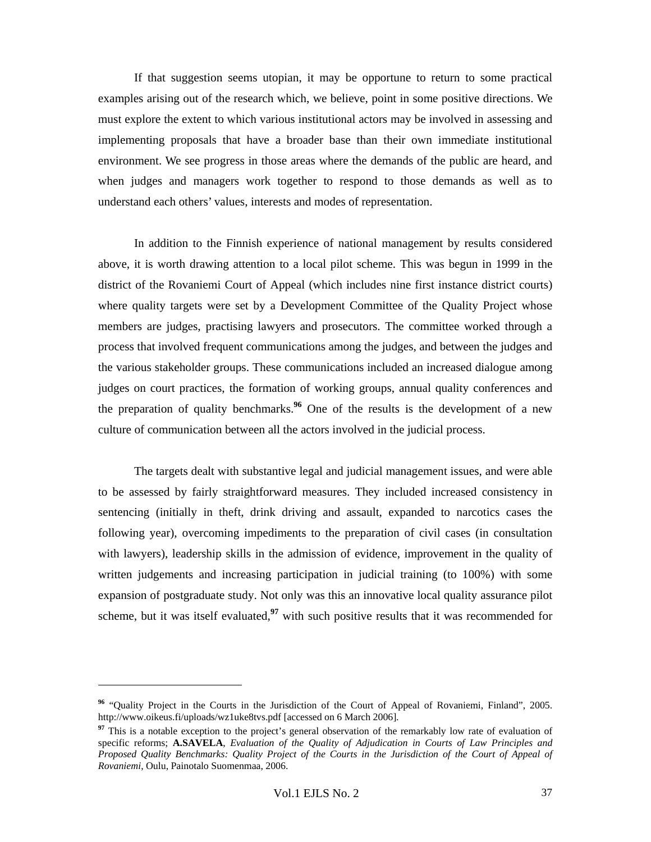If that suggestion seems utopian, it may be opportune to return to some practical examples arising out of the research which, we believe, point in some positive directions. We must explore the extent to which various institutional actors may be involved in assessing and implementing proposals that have a broader base than their own immediate institutional environment. We see progress in those areas where the demands of the public are heard, and when judges and managers work together to respond to those demands as well as to understand each others' values, interests and modes of representation.

In addition to the Finnish experience of national management by results considered above, it is worth drawing attention to a local pilot scheme. This was begun in 1999 in the district of the Rovaniemi Court of Appeal (which includes nine first instance district courts) where quality targets were set by a Development Committee of the Quality Project whose members are judges, practising lawyers and prosecutors. The committee worked through a process that involved frequent communications among the judges, and between the judges and the various stakeholder groups. These communications included an increased dialogue among judges on court practices, the formation of working groups, annual quality conferences and the preparation of quality benchmarks.**<sup>96</sup>** One of the results is the development of a new culture of communication between all the actors involved in the judicial process.

The targets dealt with substantive legal and judicial management issues, and were able to be assessed by fairly straightforward measures. They included increased consistency in sentencing (initially in theft, drink driving and assault, expanded to narcotics cases the following year), overcoming impediments to the preparation of civil cases (in consultation with lawyers), leadership skills in the admission of evidence, improvement in the quality of written judgements and increasing participation in judicial training (to 100%) with some expansion of postgraduate study. Not only was this an innovative local quality assurance pilot scheme, but it was itself evaluated,**<sup>97</sup>** with such positive results that it was recommended for

**<sup>96</sup>** "Quality Project in the Courts in the Jurisdiction of the Court of Appeal of Rovaniemi, Finland", 2005. http://www.oikeus.fi/uploads/wz1uke8tvs.pdf [accessed on 6 March 2006].

<sup>&</sup>lt;sup>97</sup> This is a notable exception to the project's general observation of the remarkably low rate of evaluation of specific reforms; **A.SAVELA**, *Evaluation of the Quality of Adjudication in Courts of Law Principles and Proposed Quality Benchmarks: Quality Project of the Courts in the Jurisdiction of the Court of Appeal of Rovaniemi*, Oulu, Painotalo Suomenmaa, 2006.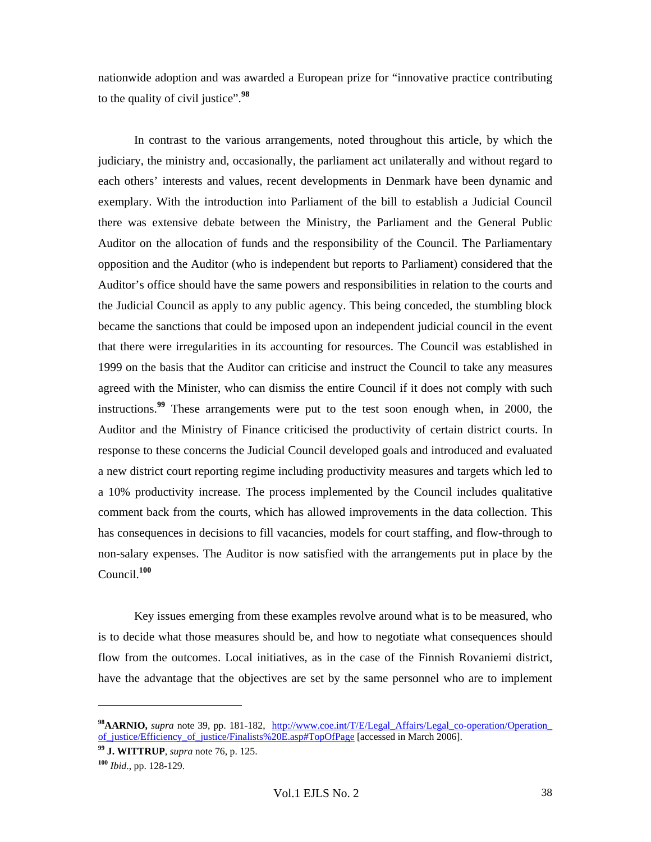nationwide adoption and was awarded a European prize for "innovative practice contributing to the quality of civil justice".**<sup>98</sup>**

In contrast to the various arrangements, noted throughout this article, by which the judiciary, the ministry and, occasionally, the parliament act unilaterally and without regard to each others' interests and values, recent developments in Denmark have been dynamic and exemplary. With the introduction into Parliament of the bill to establish a Judicial Council there was extensive debate between the Ministry, the Parliament and the General Public Auditor on the allocation of funds and the responsibility of the Council. The Parliamentary opposition and the Auditor (who is independent but reports to Parliament) considered that the Auditor's office should have the same powers and responsibilities in relation to the courts and the Judicial Council as apply to any public agency. This being conceded, the stumbling block became the sanctions that could be imposed upon an independent judicial council in the event that there were irregularities in its accounting for resources. The Council was established in 1999 on the basis that the Auditor can criticise and instruct the Council to take any measures agreed with the Minister, who can dismiss the entire Council if it does not comply with such instructions.**<sup>99</sup>** These arrangements were put to the test soon enough when, in 2000, the Auditor and the Ministry of Finance criticised the productivity of certain district courts. In response to these concerns the Judicial Council developed goals and introduced and evaluated a new district court reporting regime including productivity measures and targets which led to a 10% productivity increase. The process implemented by the Council includes qualitative comment back from the courts, which has allowed improvements in the data collection. This has consequences in decisions to fill vacancies, models for court staffing, and flow-through to non-salary expenses. The Auditor is now satisfied with the arrangements put in place by the Council.**<sup>100</sup>**

Key issues emerging from these examples revolve around what is to be measured, who is to decide what those measures should be, and how to negotiate what consequences should flow from the outcomes. Local initiatives, as in the case of the Finnish Rovaniemi district, have the advantage that the objectives are set by the same personnel who are to implement

<sup>&</sup>lt;sup>98</sup>AARNIO, *supra* note 39, pp. 181-182, http://www.coe.int/T/E/Legal\_Affairs/Legal\_co-operation/Operation of justice/Efficiency of justice/Finalists%20E.asp#TopOfPage [accessed in March 2006].

**<sup>99</sup> J. WITTRUP**, *supra* note 76, p. 125.

**<sup>100</sup>** *Ibid*., pp. 128-129.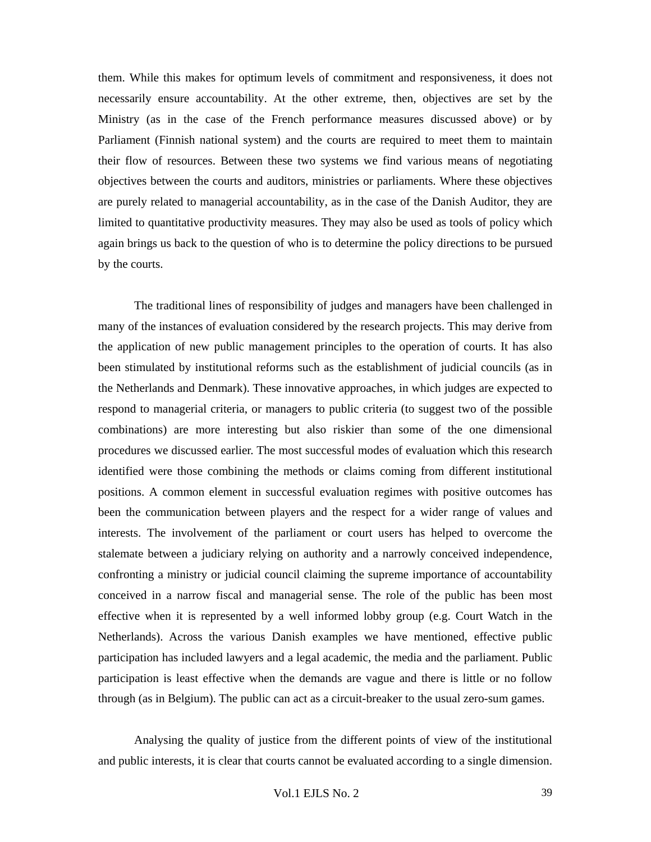them. While this makes for optimum levels of commitment and responsiveness, it does not necessarily ensure accountability. At the other extreme, then, objectives are set by the Ministry (as in the case of the French performance measures discussed above) or by Parliament (Finnish national system) and the courts are required to meet them to maintain their flow of resources. Between these two systems we find various means of negotiating objectives between the courts and auditors, ministries or parliaments. Where these objectives are purely related to managerial accountability, as in the case of the Danish Auditor, they are limited to quantitative productivity measures. They may also be used as tools of policy which again brings us back to the question of who is to determine the policy directions to be pursued by the courts.

The traditional lines of responsibility of judges and managers have been challenged in many of the instances of evaluation considered by the research projects. This may derive from the application of new public management principles to the operation of courts. It has also been stimulated by institutional reforms such as the establishment of judicial councils (as in the Netherlands and Denmark). These innovative approaches, in which judges are expected to respond to managerial criteria, or managers to public criteria (to suggest two of the possible combinations) are more interesting but also riskier than some of the one dimensional procedures we discussed earlier. The most successful modes of evaluation which this research identified were those combining the methods or claims coming from different institutional positions. A common element in successful evaluation regimes with positive outcomes has been the communication between players and the respect for a wider range of values and interests. The involvement of the parliament or court users has helped to overcome the stalemate between a judiciary relying on authority and a narrowly conceived independence, confronting a ministry or judicial council claiming the supreme importance of accountability conceived in a narrow fiscal and managerial sense. The role of the public has been most effective when it is represented by a well informed lobby group (e.g. Court Watch in the Netherlands). Across the various Danish examples we have mentioned, effective public participation has included lawyers and a legal academic, the media and the parliament. Public participation is least effective when the demands are vague and there is little or no follow through (as in Belgium). The public can act as a circuit-breaker to the usual zero-sum games.

Analysing the quality of justice from the different points of view of the institutional and public interests, it is clear that courts cannot be evaluated according to a single dimension.